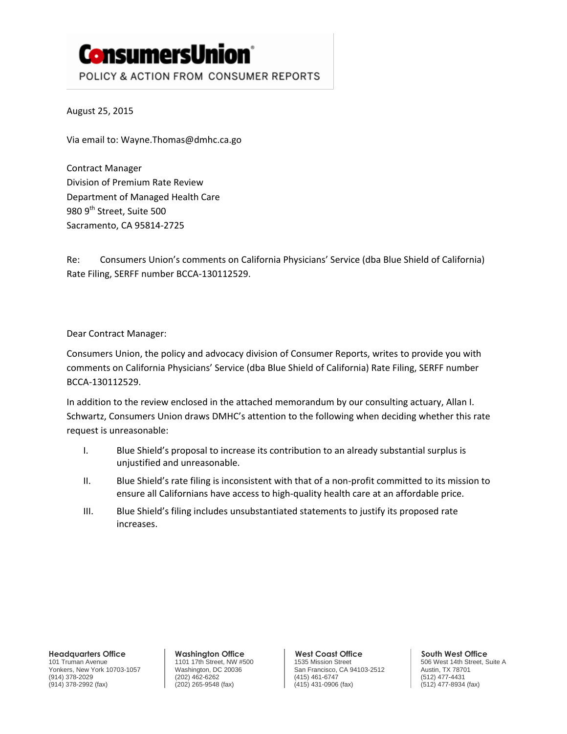# **ConsumersUnion**® POLICY & ACTION FROM CONSUMER REPORTS

August 25, 2015

Via email to: Wayne.Thomas@dmhc.ca.go

Contract Manager Division of Premium Rate Review Department of Managed Health Care 980 9<sup>th</sup> Street, Suite 500 Sacramento, CA 95814-2725

Re: Consumers Union's comments on California Physicians' Service (dba Blue Shield of California) Rate Filing, SERFF number BCCA-130112529.

Dear Contract Manager:

Consumers Union, the policy and advocacy division of Consumer Reports, writes to provide you with comments on California Physicians' Service (dba Blue Shield of California) Rate Filing, SERFF number BCCA-130112529.

In addition to the review enclosed in the attached memorandum by our consulting actuary, Allan I. Schwartz, Consumers Union draws DMHC's attention to the following when deciding whether this rate request is unreasonable:

- I. Blue Shield's proposal to increase its contribution to an already substantial surplus is unjustified and unreasonable.
- II. Blue Shield's rate filing is inconsistent with that of a non-profit committed to its mission to ensure all Californians have access to high-quality health care at an affordable price.
- III. Blue Shield's filing includes unsubstantiated statements to justify its proposed rate increases.

**Headquarters Office**

101 Truman Avenue Yonkers, New York 10703-1057 (914) 378-2029 (914) 378-2992 (fax)

**Washington Office** 1101 17th Street, NW #500 Washington, DC 20036 (202) 462-6262 (202) 265-9548 (fax)

**West Coast Office** 1535 Mission Street San Francisco, CA 94103-2512 (415) 461-6747 (415) 431-0906 (fax)

**South West Office** 506 West 14th Street, Suite A Austin, TX 78701 (512) 477-4431 (512) 477-8934 (fax)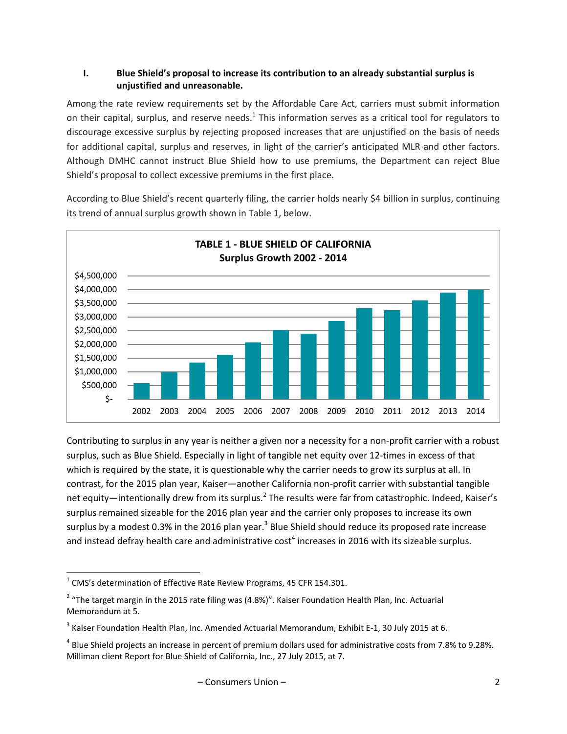## **I. Blue Shield's proposal to increase its contribution to an already substantial surplus is unjustified and unreasonable.**

Among the rate review requirements set by the Affordable Care Act, carriers must submit information on their capital, surplus, and reserve needs. $^1$  This information serves as a critical tool for regulators to discourage excessive surplus by rejecting proposed increases that are unjustified on the basis of needs for additional capital, surplus and reserves, in light of the carrier's anticipated MLR and other factors. Although DMHC cannot instruct Blue Shield how to use premiums, the Department can reject Blue Shield's proposal to collect excessive premiums in the first place.

According to Blue Shield's recent quarterly filing, the carrier holds nearly \$4 billion in surplus, continuing its trend of annual surplus growth shown in Table 1, below.



Contributing to surplus in any year is neither a given nor a necessity for a non-profit carrier with a robust surplus, such as Blue Shield. Especially in light of tangible net equity over 12-times in excess of that which is required by the state, it is questionable why the carrier needs to grow its surplus at all. In contrast, for the 2015 plan year, Kaiser—another California non-profit carrier with substantial tangible net equity—intentionally drew from its surplus.<sup>2</sup> The results were far from catastrophic. Indeed, Kaiser's surplus remained sizeable for the 2016 plan year and the carrier only proposes to increase its own surplus by a modest 0.3% in the 2016 plan year.<sup>3</sup> Blue Shield should reduce its proposed rate increase and instead defray health care and administrative cost<sup>4</sup> increases in 2016 with its sizeable surplus.

l

 $^{1}$  CMS's determination of Effective Rate Review Programs, 45 CFR 154.301.

 $2$  "The target margin in the 2015 rate filing was (4.8%)". Kaiser Foundation Health Plan, Inc. Actuarial Memorandum at 5.

<sup>&</sup>lt;sup>3</sup> Kaiser Foundation Health Plan, Inc. Amended Actuarial Memorandum, Exhibit E-1, 30 July 2015 at 6.

<sup>&</sup>lt;sup>4</sup> Blue Shield projects an increase in percent of premium dollars used for administrative costs from 7.8% to 9.28%. Milliman client Report for Blue Shield of California, Inc., 27 July 2015, at 7.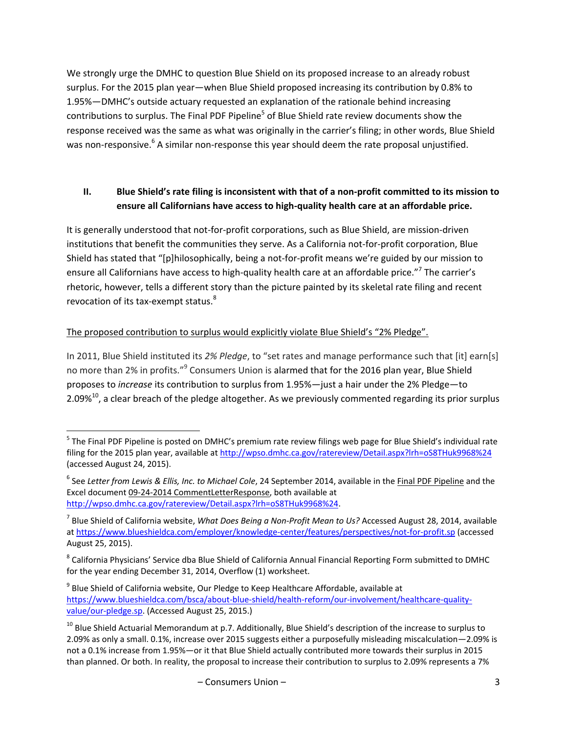We strongly urge the DMHC to question Blue Shield on its proposed increase to an already robust surplus. For the 2015 plan year—when Blue Shield proposed increasing its contribution by 0.8% to 1.95%—DMHC's outside actuary requested an explanation of the rationale behind increasing contributions to surplus. The Final PDF Pipeline<sup>5</sup> of Blue Shield rate review documents show the response received was the same as what was originally in the carrier's filing; in other words, Blue Shield was non-responsive.<sup>6</sup> A similar non-response this year should deem the rate proposal unjustified.

# **II. Blue Shield's rate filing is inconsistent with that of a non-profit committed to its mission to ensure all Californians have access to high-quality health care at an affordable price.**

It is generally understood that not-for-profit corporations, such as Blue Shield, are mission-driven institutions that benefit the communities they serve. As a California not-for-profit corporation, Blue Shield has stated that "[p]hilosophically, being a not-for-profit means we're guided by our mission to ensure all Californians have access to high-quality health care at an affordable price."<sup>7</sup> The carrier's rhetoric, however, tells a different story than the picture painted by its skeletal rate filing and recent revocation of its tax-exempt status.<sup>8</sup>

# The proposed contribution to surplus would explicitly violate Blue Shield's "2% Pledge".

 $\overline{\phantom{a}}$ 

In 2011, Blue Shield instituted its *2% Pledge*, to "set rates and manage performance such that [it] earn[s] no more than 2% in profits."<sup>9</sup> Consumers Union is alarmed that for the 2016 plan year, Blue Shield proposes to *increase* its contribution to surplus from 1.95%—just a hair under the 2% Pledge—to 2.09% $^{10}$ , a clear breach of the pledge altogether. As we previously commented regarding its prior surplus

<sup>&</sup>lt;sup>5</sup> The Final PDF Pipeline is posted on DMHC's premium rate review filings web page for Blue Shield's individual rate filing for the 2015 plan year, available a[t http://wpso.dmhc.ca.gov/ratereview/Detail.aspx?lrh=oS8THuk9968%24](http://wpso.dmhc.ca.gov/ratereview/Detail.aspx?lrh=oS8THuk9968%24) (accessed August 24, 2015).

<sup>&</sup>lt;sup>6</sup> See Letter from Lewis & Ellis, Inc. to Michael Cole, 24 September 2014, available in the <u>Final PDF Pipeline</u> and the Excel document 09-24-2014 CommentLetterResponse, both available at [http://wpso.dmhc.ca.gov/ratereview/Detail.aspx?lrh=oS8THuk9968%24.](http://wpso.dmhc.ca.gov/ratereview/Detail.aspx?lrh=oS8THuk9968%24)

<sup>7</sup> Blue Shield of California website, *What Does Being a Non-Profit Mean to Us?* Accessed August 28, 2014, available at <https://www.blueshieldca.com/employer/knowledge-center/features/perspectives/not-for-profit.sp> (accessed August 25, 2015).

 $^8$  California Physicians' Service dba Blue Shield of California Annual Financial Reporting Form submitted to DMHC for the year ending December 31, 2014, Overflow (1) worksheet.

 $^9$  Blue Shield of California website, Our Pledge to Keep Healthcare Affordable, available at [https://www.blueshieldca.com/bsca/about-blue-shield/health-reform/our-involvement/healthcare-quality](https://www.blueshieldca.com/bsca/about-blue-shield/health-reform/our-involvement/healthcare-quality-value/our-pledge.sp)[value/our-pledge.sp.](https://www.blueshieldca.com/bsca/about-blue-shield/health-reform/our-involvement/healthcare-quality-value/our-pledge.sp) (Accessed August 25, 2015.)

<sup>&</sup>lt;sup>10</sup> Blue Shield Actuarial Memorandum at p.7. Additionally, Blue Shield's description of the increase to surplus to 2.09% as only a small. 0.1%, increase over 2015 suggests either a purposefully misleading miscalculation—2.09% is not a 0.1% increase from 1.95%—or it that Blue Shield actually contributed more towards their surplus in 2015 than planned. Or both. In reality, the proposal to increase their contribution to surplus to 2.09% represents a 7%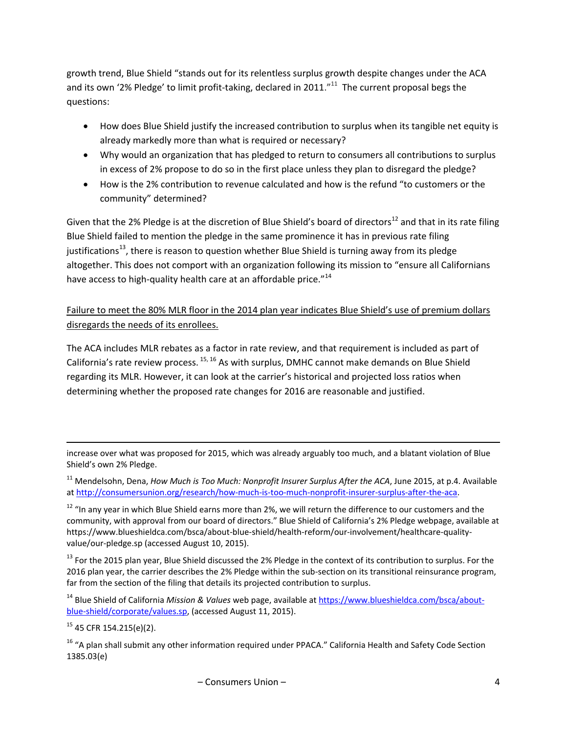growth trend, Blue Shield "stands out for its relentless surplus growth despite changes under the ACA and its own '2% Pledge' to limit profit-taking, declared in 2011. $^{\prime\prime 11}$  The current proposal begs the questions:

- How does Blue Shield justify the increased contribution to surplus when its tangible net equity is already markedly more than what is required or necessary?
- Why would an organization that has pledged to return to consumers all contributions to surplus in excess of 2% propose to do so in the first place unless they plan to disregard the pledge?
- How is the 2% contribution to revenue calculated and how is the refund "to customers or the community" determined?

Given that the 2% Pledge is at the discretion of Blue Shield's board of directors<sup>12</sup> and that in its rate filing Blue Shield failed to mention the pledge in the same prominence it has in previous rate filing justifications<sup>13</sup>, there is reason to question whether Blue Shield is turning away from its pledge altogether. This does not comport with an organization following its mission to "ensure all Californians have access to high-quality health care at an affordable price."<sup>14</sup>

Failure to meet the 80% MLR floor in the 2014 plan year indicates Blue Shield's use of premium dollars disregards the needs of its enrollees.

The ACA includes MLR rebates as a factor in rate review, and that requirement is included as part of California's rate review process. <sup>15, 16</sup> As with surplus, DMHC cannot make demands on Blue Shield regarding its MLR. However, it can look at the carrier's historical and projected loss ratios when determining whether the proposed rate changes for 2016 are reasonable and justified.

increase over what was proposed for 2015, which was already arguably too much, and a blatant violation of Blue Shield's own 2% Pledge.

<sup>11</sup> Mendelsohn, Dena, *How Much is Too Much: Nonprofit Insurer Surplus After the ACA*, June 2015, at p.4. Available a[t http://consumersunion.org/research/how-much-is-too-much-nonprofit-insurer-surplus-after-the-aca.](http://consumersunion.org/research/how-much-is-too-much-nonprofit-insurer-surplus-after-the-aca)

 $12$  "In any year in which Blue Shield earns more than 2%, we will return the difference to our customers and the community, with approval from our board of directors." Blue Shield of California's 2% Pledge webpage, available at https://www.blueshieldca.com/bsca/about-blue-shield/health-reform/our-involvement/healthcare-qualityvalue/our-pledge.sp (accessed August 10, 2015).

 $13$  For the 2015 plan year, Blue Shield discussed the 2% Pledge in the context of its contribution to surplus. For the 2016 plan year, the carrier describes the 2% Pledge within the sub-section on its transitional reinsurance program, far from the section of the filing that details its projected contribution to surplus.

<sup>14</sup> Blue Shield of California *Mission & Values* web page, available a[t https://www.blueshieldca.com/bsca/about](https://www.blueshieldca.com/bsca/about-blue-shield/corporate/values.sp)[blue-shield/corporate/values.sp,](https://www.blueshieldca.com/bsca/about-blue-shield/corporate/values.sp) (accessed August 11, 2015).

 $15$  45 CFR 154.215(e)(2).

 $\overline{\phantom{a}}$ 

<sup>16</sup> "A plan shall submit any other information required under PPACA." California Health and Safety Code Section 1385.03(e)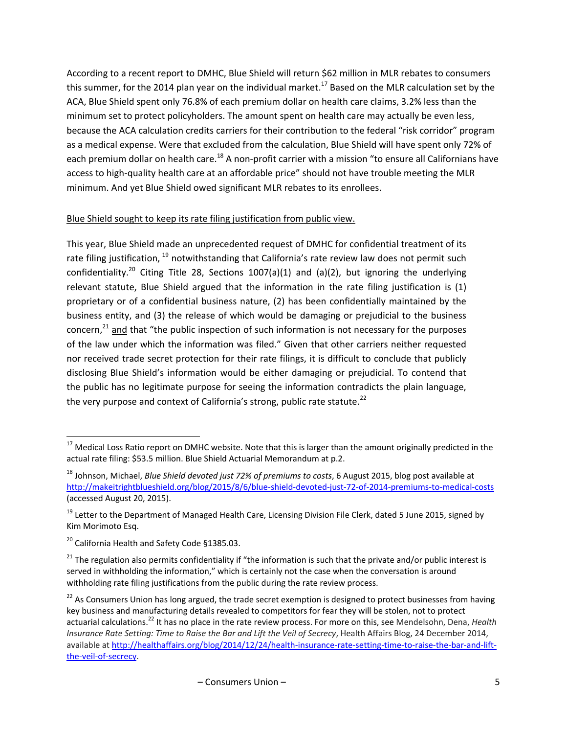According to a recent report to DMHC, Blue Shield will return \$62 million in MLR rebates to consumers this summer, for the 2014 plan year on the individual market.<sup>17</sup> Based on the MLR calculation set by the ACA, Blue Shield spent only 76.8% of each premium dollar on health care claims, 3.2% less than the minimum set to protect policyholders. The amount spent on health care may actually be even less, because the ACA calculation credits carriers for their contribution to the federal "risk corridor" program as a medical expense. Were that excluded from the calculation, Blue Shield will have spent only 72% of each premium dollar on health care.<sup>18</sup> A non-profit carrier with a mission "to ensure all Californians have access to high-quality health care at an affordable price" should not have trouble meeting the MLR minimum. And yet Blue Shield owed significant MLR rebates to its enrollees.

# Blue Shield sought to keep its rate filing justification from public view.

This year, Blue Shield made an unprecedented request of DMHC for confidential treatment of its rate filing justification, <sup>19</sup> notwithstanding that California's rate review law does not permit such confidentiality.<sup>20</sup> Citing Title 28, Sections 1007(a)(1) and (a)(2), but ignoring the underlying relevant statute, Blue Shield argued that the information in the rate filing justification is (1) proprietary or of a confidential business nature, (2) has been confidentially maintained by the business entity, and (3) the release of which would be damaging or prejudicial to the business concern, $^{21}$  and that "the public inspection of such information is not necessary for the purposes of the law under which the information was filed." Given that other carriers neither requested nor received trade secret protection for their rate filings, it is difficult to conclude that publicly disclosing Blue Shield's information would be either damaging or prejudicial. To contend that the public has no legitimate purpose for seeing the information contradicts the plain language, the very purpose and context of California's strong, public rate statute. $^{22}$ 

 $^{17}$  Medical Loss Ratio report on DMHC website. Note that this is larger than the amount originally predicted in the actual rate filing: \$53.5 million. Blue Shield Actuarial Memorandum at p.2.

<sup>18</sup> Johnson, Michael, *Blue Shield devoted just 72% of premiums to costs*, 6 August 2015, blog post available at <http://makeitrightblueshield.org/blog/2015/8/6/blue-shield-devoted-just-72-of-2014-premiums-to-medical-costs> (accessed August 20, 2015).

<sup>&</sup>lt;sup>19</sup> Letter to the Department of Managed Health Care, Licensing Division File Clerk, dated 5 June 2015, signed by Kim Morimoto Esq.

<sup>&</sup>lt;sup>20</sup> California Health and Safety Code §1385.03.

 $21$  The regulation also permits confidentiality if "the information is such that the private and/or public interest is served in withholding the information," which is certainly not the case when the conversation is around withholding rate filing justifications from the public during the rate review process.

 $22$  As Consumers Union has long argued, the trade secret exemption is designed to protect businesses from having key business and manufacturing details revealed to competitors for fear they will be stolen, not to protect actuarial calculations.<sup>22</sup> It has no place in the rate review process. For more on this, see Mendelsohn, Dena, *Health Insurance Rate Setting: Time to Raise the Bar and Lift the Veil of Secrecy*, Health Affairs Blog, 24 December 2014, available at [http://healthaffairs.org/blog/2014/12/24/health-insurance-rate-setting-time-to-raise-the-bar-and-lift](http://healthaffairs.org/blog/2014/12/24/health-insurance-rate-setting-time-to-raise-the-bar-and-lift-the-veil-of-secrecy)[the-veil-of-secrecy.](http://healthaffairs.org/blog/2014/12/24/health-insurance-rate-setting-time-to-raise-the-bar-and-lift-the-veil-of-secrecy)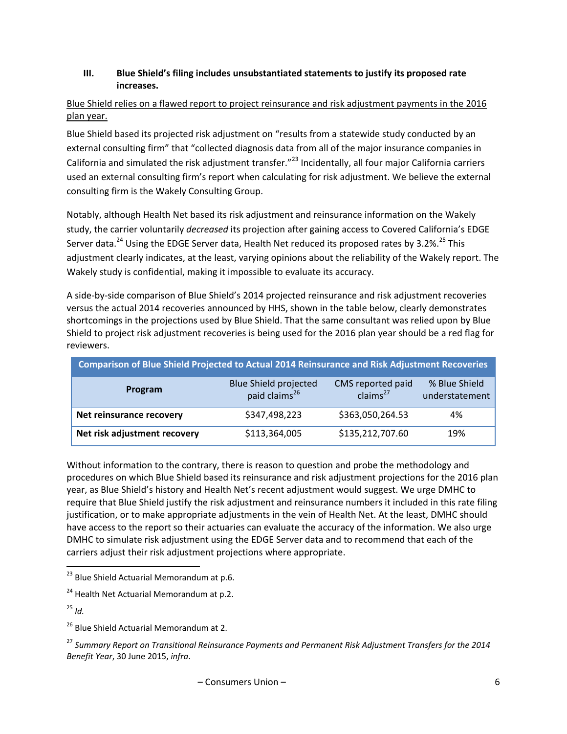### **III. Blue Shield's filing includes unsubstantiated statements to justify its proposed rate increases.**

# Blue Shield relies on a flawed report to project reinsurance and risk adjustment payments in the 2016 plan year.

Blue Shield based its projected risk adjustment on "results from a statewide study conducted by an external consulting firm" that "collected diagnosis data from all of the major insurance companies in California and simulated the risk adjustment transfer."<sup>23</sup> Incidentally, all four major California carriers used an external consulting firm's report when calculating for risk adjustment. We believe the external consulting firm is the Wakely Consulting Group.

Notably, although Health Net based its risk adjustment and reinsurance information on the Wakely study, the carrier voluntarily *decreased* its projection after gaining access to Covered California's EDGE Server data.<sup>24</sup> Using the EDGE Server data, Health Net reduced its proposed rates by 3.2%.<sup>25</sup> This adjustment clearly indicates, at the least, varying opinions about the reliability of the Wakely report. The Wakely study is confidential, making it impossible to evaluate its accuracy.

A side-by-side comparison of Blue Shield's 2014 projected reinsurance and risk adjustment recoveries versus the actual 2014 recoveries announced by HHS, shown in the table below, clearly demonstrates shortcomings in the projections used by Blue Shield. That the same consultant was relied upon by Blue Shield to project risk adjustment recoveries is being used for the 2016 plan year should be a red flag for reviewers.

| <b>Comparison of Blue Shield Projected to Actual 2014 Reinsurance and Risk Adjustment Recoveries</b> |                                                           |                                           |                                 |  |  |
|------------------------------------------------------------------------------------------------------|-----------------------------------------------------------|-------------------------------------------|---------------------------------|--|--|
| Program                                                                                              | <b>Blue Shield projected</b><br>paid claims <sup>26</sup> | CMS reported paid<br>clains <sup>27</sup> | % Blue Shield<br>understatement |  |  |
| Net reinsurance recovery                                                                             | \$347,498,223                                             | \$363,050,264.53                          | 4%                              |  |  |
| Net risk adjustment recovery                                                                         | \$113,364,005                                             | \$135,212,707.60                          | 19%                             |  |  |

Without information to the contrary, there is reason to question and probe the methodology and procedures on which Blue Shield based its reinsurance and risk adjustment projections for the 2016 plan year, as Blue Shield's history and Health Net's recent adjustment would suggest. We urge DMHC to require that Blue Shield justify the risk adjustment and reinsurance numbers it included in this rate filing justification, or to make appropriate adjustments in the vein of Health Net. At the least, DMHC should have access to the report so their actuaries can evaluate the accuracy of the information. We also urge DMHC to simulate risk adjustment using the EDGE Server data and to recommend that each of the carriers adjust their risk adjustment projections where appropriate.

<sup>25</sup> *Id.*

l

<sup>&</sup>lt;sup>23</sup> Blue Shield Actuarial Memorandum at p.6.

 $24$  Health Net Actuarial Memorandum at p.2.

<sup>&</sup>lt;sup>26</sup> Blue Shield Actuarial Memorandum at 2.

<sup>27</sup> *Summary Report on Transitional Reinsurance Payments and Permanent Risk Adjustment Transfers for the 2014 Benefit Year*, 30 June 2015, *infra*.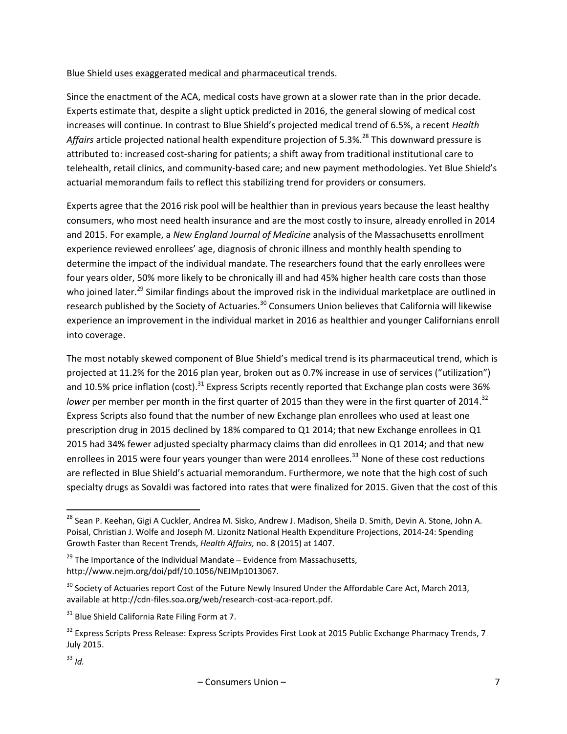#### Blue Shield uses exaggerated medical and pharmaceutical trends.

Since the enactment of the ACA, medical costs have grown at a slower rate than in the prior decade. Experts estimate that, despite a slight uptick predicted in 2016, the general slowing of medical cost increases will continue. In contrast to Blue Shield's projected medical trend of 6.5%, a recent *Health*  Affairs article projected national health expenditure projection of 5.3%.<sup>28</sup> This downward pressure is attributed to: increased cost-sharing for patients; a shift away from traditional institutional care to telehealth, retail clinics, and community-based care; and new payment methodologies. Yet Blue Shield's actuarial memorandum fails to reflect this stabilizing trend for providers or consumers.

Experts agree that the 2016 risk pool will be healthier than in previous years because the least healthy consumers, who most need health insurance and are the most costly to insure, already enrolled in 2014 and 2015. For example, a *New England Journal of Medicine* analysis of the Massachusetts enrollment experience reviewed enrollees' age, diagnosis of chronic illness and monthly health spending to determine the impact of the individual mandate. The researchers found that the early enrollees were four years older, 50% more likely to be chronically ill and had 45% higher health care costs than those who joined later.<sup>29</sup> Similar findings about the improved risk in the individual marketplace are outlined in research published by the Society of Actuaries.<sup>30</sup> Consumers Union believes that California will likewise experience an improvement in the individual market in 2016 as healthier and younger Californians enroll into coverage.

The most notably skewed component of Blue Shield's medical trend is its pharmaceutical trend, which is projected at 11.2% for the 2016 plan year, broken out as 0.7% increase in use of services ("utilization") and 10.5% price inflation (cost).<sup>31</sup> Express Scripts recently reported that Exchange plan costs were 36% lower per member per month in the first quarter of 2015 than they were in the first quarter of 2014.<sup>32</sup> Express Scripts also found that the number of new Exchange plan enrollees who used at least one prescription drug in 2015 declined by 18% compared to Q1 2014; that new Exchange enrollees in Q1 2015 had 34% fewer adjusted specialty pharmacy claims than did enrollees in Q1 2014; and that new enrollees in 2015 were four years younger than were 2014 enrollees.<sup>33</sup> None of these cost reductions are reflected in Blue Shield's actuarial memorandum. Furthermore, we note that the high cost of such specialty drugs as Sovaldi was factored into rates that were finalized for 2015. Given that the cost of this

 $\overline{\phantom{a}}$ 

<sup>&</sup>lt;sup>28</sup> Sean P. Keehan, Gigi A Cuckler, Andrea M. Sisko, Andrew J. Madison, Sheila D. Smith, Devin A. Stone, John A. Poisal, Christian J. Wolfe and Joseph M. Lizonitz National Health Expenditure Projections, 2014-24: Spending Growth Faster than Recent Trends, *Health Affairs,* no. 8 (2015) at 1407.

 $29$  The Importance of the Individual Mandate – Evidence from Massachusetts, http://www.nejm.org/doi/pdf/10.1056/NEJMp1013067.

 $30$  Society of Actuaries report Cost of the Future Newly Insured Under the Affordable Care Act, March 2013, available at http://cdn-files.soa.org/web/research-cost-aca-report.pdf.

<sup>&</sup>lt;sup>31</sup> Blue Shield California Rate Filing Form at 7.

<sup>&</sup>lt;sup>32</sup> Express Scripts Press Release: Express Scripts Provides First Look at 2015 Public Exchange Pharmacy Trends, 7 July 2015.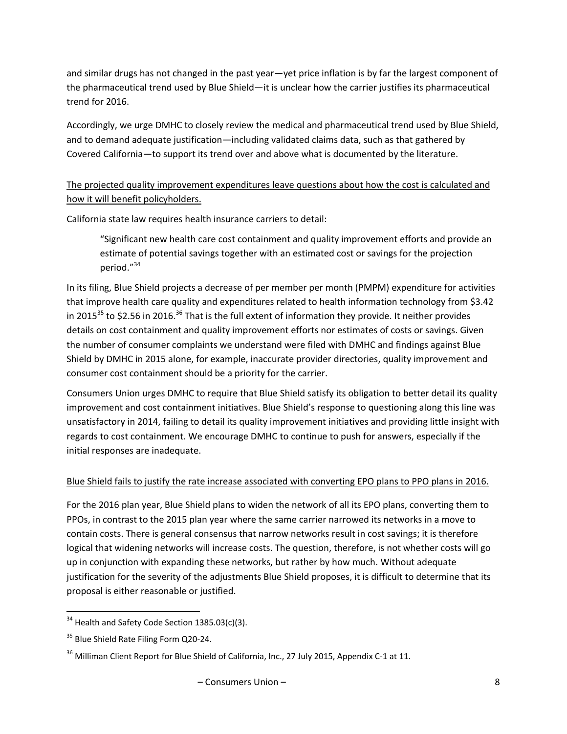and similar drugs has not changed in the past year—yet price inflation is by far the largest component of the pharmaceutical trend used by Blue Shield—it is unclear how the carrier justifies its pharmaceutical trend for 2016.

Accordingly, we urge DMHC to closely review the medical and pharmaceutical trend used by Blue Shield, and to demand adequate justification—including validated claims data, such as that gathered by Covered California—to support its trend over and above what is documented by the literature.

# The projected quality improvement expenditures leave questions about how the cost is calculated and how it will benefit policyholders.

California state law requires health insurance carriers to detail:

"Significant new health care cost containment and quality improvement efforts and provide an estimate of potential savings together with an estimated cost or savings for the projection period."<sup>34</sup>

In its filing, Blue Shield projects a decrease of per member per month (PMPM) expenditure for activities that improve health care quality and expenditures related to health information technology from \$3.42 in 2015 $^{35}$  to \$2.56 in 2016.<sup>36</sup> That is the full extent of information they provide. It neither provides details on cost containment and quality improvement efforts nor estimates of costs or savings. Given the number of consumer complaints we understand were filed with DMHC and findings against Blue Shield by DMHC in 2015 alone, for example, inaccurate provider directories, quality improvement and consumer cost containment should be a priority for the carrier.

Consumers Union urges DMHC to require that Blue Shield satisfy its obligation to better detail its quality improvement and cost containment initiatives. Blue Shield's response to questioning along this line was unsatisfactory in 2014, failing to detail its quality improvement initiatives and providing little insight with regards to cost containment. We encourage DMHC to continue to push for answers, especially if the initial responses are inadequate.

#### Blue Shield fails to justify the rate increase associated with converting EPO plans to PPO plans in 2016.

For the 2016 plan year, Blue Shield plans to widen the network of all its EPO plans, converting them to PPOs, in contrast to the 2015 plan year where the same carrier narrowed its networks in a move to contain costs. There is general consensus that narrow networks result in cost savings; it is therefore logical that widening networks will increase costs. The question, therefore, is not whether costs will go up in conjunction with expanding these networks, but rather by how much. Without adequate justification for the severity of the adjustments Blue Shield proposes, it is difficult to determine that its proposal is either reasonable or justified.

 $\overline{\phantom{a}}$  $34$  Health and Safety Code Section 1385.03(c)(3).

<sup>&</sup>lt;sup>35</sup> Blue Shield Rate Filing Form Q20-24.

<sup>&</sup>lt;sup>36</sup> Milliman Client Report for Blue Shield of California, Inc., 27 July 2015, Appendix C-1 at 11.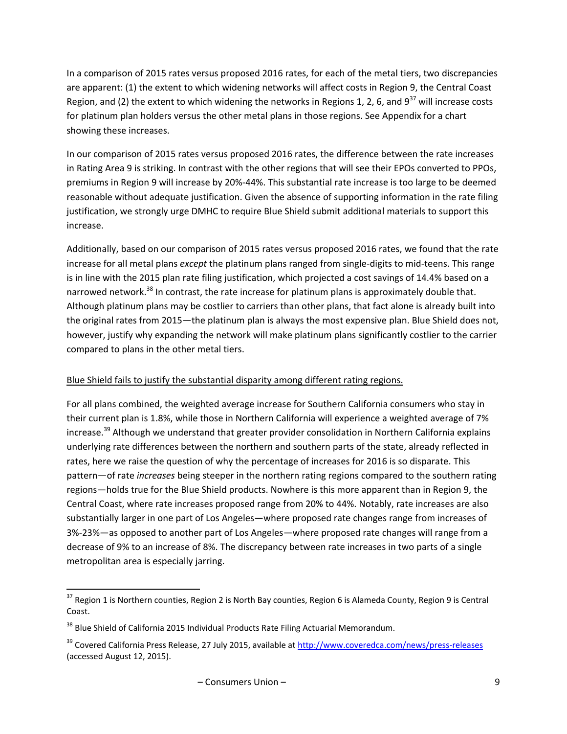In a comparison of 2015 rates versus proposed 2016 rates, for each of the metal tiers, two discrepancies are apparent: (1) the extent to which widening networks will affect costs in Region 9, the Central Coast Region, and (2) the extent to which widening the networks in Regions 1, 2, 6, and  $9^{37}$  will increase costs for platinum plan holders versus the other metal plans in those regions. See Appendix for a chart showing these increases.

In our comparison of 2015 rates versus proposed 2016 rates, the difference between the rate increases in Rating Area 9 is striking. In contrast with the other regions that will see their EPOs converted to PPOs, premiums in Region 9 will increase by 20%-44%. This substantial rate increase is too large to be deemed reasonable without adequate justification. Given the absence of supporting information in the rate filing justification, we strongly urge DMHC to require Blue Shield submit additional materials to support this increase.

Additionally, based on our comparison of 2015 rates versus proposed 2016 rates, we found that the rate increase for all metal plans *except* the platinum plans ranged from single-digits to mid-teens. This range is in line with the 2015 plan rate filing justification, which projected a cost savings of 14.4% based on a narrowed network.<sup>38</sup> In contrast, the rate increase for platinum plans is approximately double that. Although platinum plans may be costlier to carriers than other plans, that fact alone is already built into the original rates from 2015—the platinum plan is always the most expensive plan. Blue Shield does not, however, justify why expanding the network will make platinum plans significantly costlier to the carrier compared to plans in the other metal tiers.

#### Blue Shield fails to justify the substantial disparity among different rating regions.

For all plans combined, the weighted average increase for Southern California consumers who stay in their current plan is 1.8%, while those in Northern California will experience a weighted average of 7% increase.<sup>39</sup> Although we understand that greater provider consolidation in Northern California explains underlying rate differences between the northern and southern parts of the state, already reflected in rates, here we raise the question of why the percentage of increases for 2016 is so disparate. This pattern—of rate *increases* being steeper in the northern rating regions compared to the southern rating regions—holds true for the Blue Shield products. Nowhere is this more apparent than in Region 9, the Central Coast, where rate increases proposed range from 20% to 44%. Notably, rate increases are also substantially larger in one part of Los Angeles—where proposed rate changes range from increases of 3%-23%—as opposed to another part of Los Angeles—where proposed rate changes will range from a decrease of 9% to an increase of 8%. The discrepancy between rate increases in two parts of a single metropolitan area is especially jarring.

 $\overline{\phantom{a}}$ 

 $37$  Region 1 is Northern counties, Region 2 is North Bay counties, Region 6 is Alameda County, Region 9 is Central Coast.

<sup>&</sup>lt;sup>38</sup> Blue Shield of California 2015 Individual Products Rate Filing Actuarial Memorandum.

<sup>&</sup>lt;sup>39</sup> Covered California Press Release, 27 July 2015, available a[t http://www.coveredca.com/news/press-releases](http://www.coveredca.com/news/press-releases) (accessed August 12, 2015).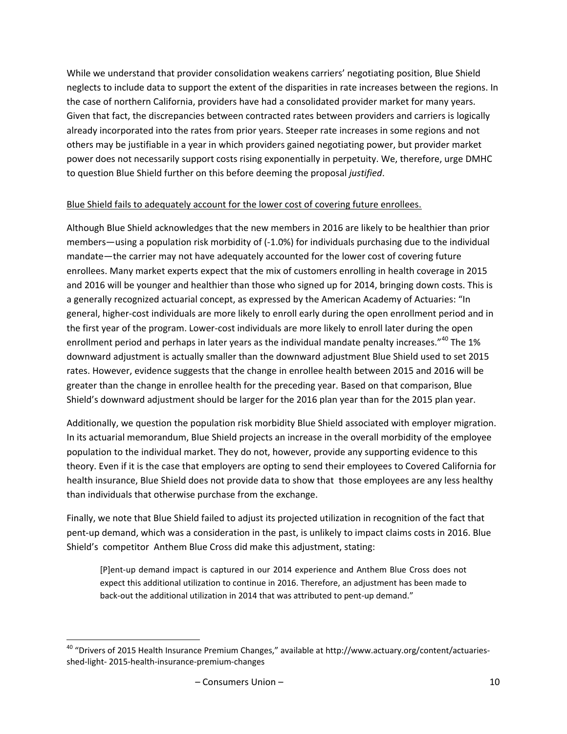While we understand that provider consolidation weakens carriers' negotiating position, Blue Shield neglects to include data to support the extent of the disparities in rate increases between the regions. In the case of northern California, providers have had a consolidated provider market for many years. Given that fact, the discrepancies between contracted rates between providers and carriers is logically already incorporated into the rates from prior years. Steeper rate increases in some regions and not others may be justifiable in a year in which providers gained negotiating power, but provider market power does not necessarily support costs rising exponentially in perpetuity. We, therefore, urge DMHC to question Blue Shield further on this before deeming the proposal *justified*.

#### Blue Shield fails to adequately account for the lower cost of covering future enrollees.

Although Blue Shield acknowledges that the new members in 2016 are likely to be healthier than prior members—using a population risk morbidity of (-1.0%) for individuals purchasing due to the individual mandate—the carrier may not have adequately accounted for the lower cost of covering future enrollees. Many market experts expect that the mix of customers enrolling in health coverage in 2015 and 2016 will be younger and healthier than those who signed up for 2014, bringing down costs. This is a generally recognized actuarial concept, as expressed by the American Academy of Actuaries: "In general, higher-cost individuals are more likely to enroll early during the open enrollment period and in the first year of the program. Lower-cost individuals are more likely to enroll later during the open enrollment period and perhaps in later years as the individual mandate penalty increases."<sup>40</sup> The 1% downward adjustment is actually smaller than the downward adjustment Blue Shield used to set 2015 rates. However, evidence suggests that the change in enrollee health between 2015 and 2016 will be greater than the change in enrollee health for the preceding year. Based on that comparison, Blue Shield's downward adjustment should be larger for the 2016 plan year than for the 2015 plan year.

Additionally, we question the population risk morbidity Blue Shield associated with employer migration. In its actuarial memorandum, Blue Shield projects an increase in the overall morbidity of the employee population to the individual market. They do not, however, provide any supporting evidence to this theory. Even if it is the case that employers are opting to send their employees to Covered California for health insurance, Blue Shield does not provide data to show that those employees are any less healthy than individuals that otherwise purchase from the exchange.

Finally, we note that Blue Shield failed to adjust its projected utilization in recognition of the fact that pent-up demand, which was a consideration in the past, is unlikely to impact claims costs in 2016. Blue Shield's competitor Anthem Blue Cross did make this adjustment, stating:

[P]ent-up demand impact is captured in our 2014 experience and Anthem Blue Cross does not expect this additional utilization to continue in 2016. Therefore, an adjustment has been made to back-out the additional utilization in 2014 that was attributed to pent-up demand."

 $\overline{\phantom{a}}$ <sup>40</sup> "Drivers of 2015 Health Insurance Premium Changes," available at http://www.actuary.org/content/actuariesshed-light- 2015-health-insurance-premium-changes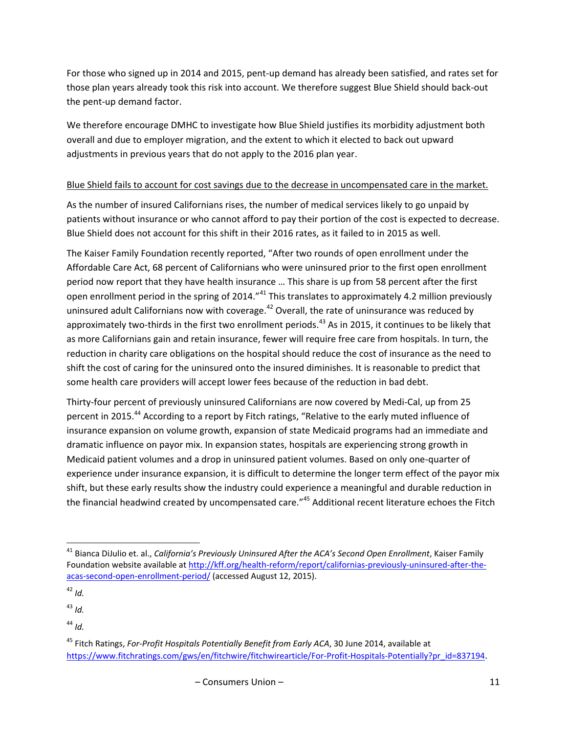For those who signed up in 2014 and 2015, pent-up demand has already been satisfied, and rates set for those plan years already took this risk into account. We therefore suggest Blue Shield should back-out the pent-up demand factor.

We therefore encourage DMHC to investigate how Blue Shield justifies its morbidity adjustment both overall and due to employer migration, and the extent to which it elected to back out upward adjustments in previous years that do not apply to the 2016 plan year.

# Blue Shield fails to account for cost savings due to the decrease in uncompensated care in the market.

As the number of insured Californians rises, the number of medical services likely to go unpaid by patients without insurance or who cannot afford to pay their portion of the cost is expected to decrease. Blue Shield does not account for this shift in their 2016 rates, as it failed to in 2015 as well.

The Kaiser Family Foundation recently reported, "After two rounds of open enrollment under the Affordable Care Act, 68 percent of Californians who were uninsured prior to the first open enrollment period now report that they have health insurance … This share is up from 58 percent after the first open enrollment period in the spring of 2014."<sup>41</sup> This translates to approximately 4.2 million previously uninsured adult Californians now with coverage.<sup>42</sup> Overall, the rate of uninsurance was reduced by approximately two-thirds in the first two enrollment periods.<sup>43</sup> As in 2015, it continues to be likely that as more Californians gain and retain insurance, fewer will require free care from hospitals. In turn, the reduction in charity care obligations on the hospital should reduce the cost of insurance as the need to shift the cost of caring for the uninsured onto the insured diminishes. It is reasonable to predict that some health care providers will accept lower fees because of the reduction in bad debt.

Thirty-four percent of previously uninsured Californians are now covered by Medi-Cal, up from 25 percent in 2015.<sup>44</sup> According to a report by Fitch ratings, "Relative to the early muted influence of insurance expansion on volume growth, expansion of state Medicaid programs had an immediate and dramatic influence on payor mix. In expansion states, hospitals are experiencing strong growth in Medicaid patient volumes and a drop in uninsured patient volumes. Based on only one-quarter of experience under insurance expansion, it is difficult to determine the longer term effect of the payor mix shift, but these early results show the industry could experience a meaningful and durable reduction in the financial headwind created by uncompensated care."<sup>45</sup> Additional recent literature echoes the Fitch

 $\overline{\phantom{a}}$ 

<sup>41</sup> Bianca DiJulio et. al., *California's Previously Uninsured After the ACA's Second Open Enrollment*, Kaiser Family Foundation website available a[t http://kff.org/health-reform/report/californias-previously-uninsured-after-the](http://kff.org/health-reform/report/californias-previously-uninsured-after-the-acas-second-open-enrollment-period/)[acas-second-open-enrollment-period/](http://kff.org/health-reform/report/californias-previously-uninsured-after-the-acas-second-open-enrollment-period/) (accessed August 12, 2015).

 $42$  *Id.* 

<sup>43</sup> *Id.*

 $44$  *Id.* 

<sup>45</sup> Fitch Ratings, *For-Profit Hospitals Potentially Benefit from Early ACA*, 30 June 2014, available at [https://www.fitchratings.com/gws/en/fitchwire/fitchwirearticle/For-Profit-Hospitals-Potentially?pr\\_id=837194](https://www.fitchratings.com/gws/en/fitchwire/fitchwirearticle/For-Profit-Hospitals-Potentially?pr_id=837194).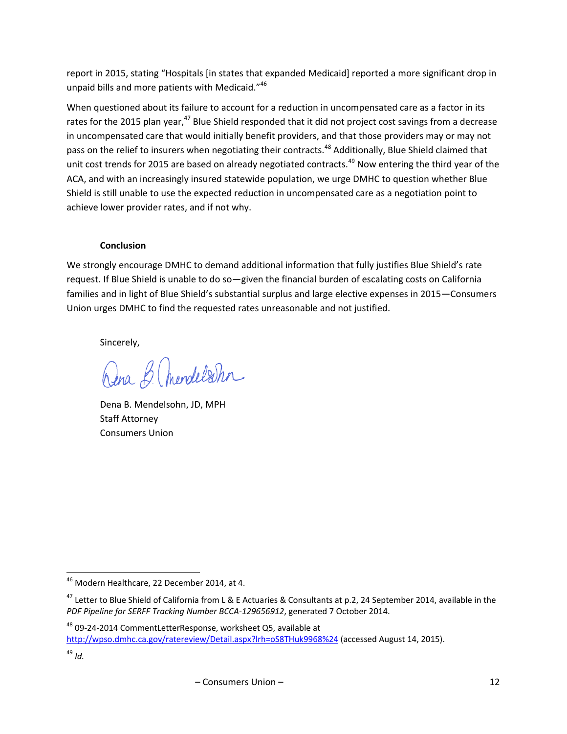report in 2015, stating "Hospitals [in states that expanded Medicaid] reported a more significant drop in unpaid bills and more patients with Medicaid."<sup>46</sup>

When questioned about its failure to account for a reduction in uncompensated care as a factor in its rates for the 2015 plan year,<sup>47</sup> Blue Shield responded that it did not project cost savings from a decrease in uncompensated care that would initially benefit providers, and that those providers may or may not pass on the relief to insurers when negotiating their contracts.<sup>48</sup> Additionally, Blue Shield claimed that unit cost trends for 2015 are based on already negotiated contracts.<sup>49</sup> Now entering the third year of the ACA, and with an increasingly insured statewide population, we urge DMHC to question whether Blue Shield is still unable to use the expected reduction in uncompensated care as a negotiation point to achieve lower provider rates, and if not why.

#### **Conclusion**

We strongly encourage DMHC to demand additional information that fully justifies Blue Shield's rate request. If Blue Shield is unable to do so—given the financial burden of escalating costs on California families and in light of Blue Shield's substantial surplus and large elective expenses in 2015—Consumers Union urges DMHC to find the requested rates unreasonable and not justified.

Sincerely,

Dena B. mendelsohn

Dena B. Mendelsohn, JD, MPH Staff Attorney Consumers Union

l

 $^{46}$  Modern Healthcare, 22 December 2014, at 4.

<sup>&</sup>lt;sup>47</sup> Letter to Blue Shield of California from L & E Actuaries & Consultants at p.2, 24 September 2014, available in the *PDF Pipeline for SERFF Tracking Number BCCA-129656912*, generated 7 October 2014.

<sup>48</sup> 09-24-2014 CommentLetterResponse, worksheet Q5, available at <http://wpso.dmhc.ca.gov/ratereview/Detail.aspx?lrh=oS8THuk9968%24> (accessed August 14, 2015).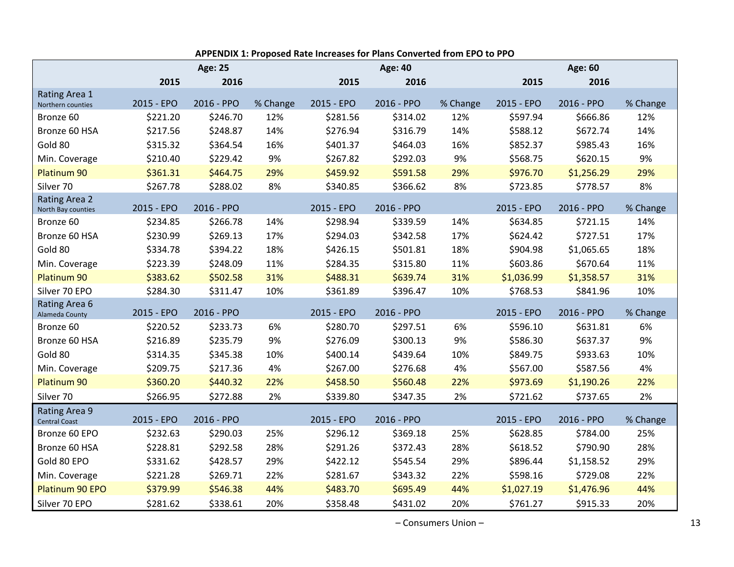|                                            |            | <b>Age: 25</b> |          |            | <b>Age: 40</b> |          |            | Age: 60    |          |
|--------------------------------------------|------------|----------------|----------|------------|----------------|----------|------------|------------|----------|
|                                            | 2015       | 2016           |          | 2015       | 2016           |          | 2015       | 2016       |          |
| Rating Area 1<br>Northern counties         | 2015 - EPO | 2016 - PPO     | % Change | 2015 - EPO | 2016 - PPO     | % Change | 2015 - EPO | 2016 - PPO | % Change |
| Bronze 60                                  | \$221.20   | \$246.70       | 12%      | \$281.56   | \$314.02       | 12%      | \$597.94   | \$666.86   | 12%      |
| Bronze 60 HSA                              | \$217.56   | \$248.87       | 14%      | \$276.94   | \$316.79       | 14%      | \$588.12   | \$672.74   | 14%      |
| Gold 80                                    | \$315.32   | \$364.54       | 16%      | \$401.37   | \$464.03       | 16%      | \$852.37   | \$985.43   | 16%      |
| Min. Coverage                              | \$210.40   | \$229.42       | 9%       | \$267.82   | \$292.03       | 9%       | \$568.75   | \$620.15   | 9%       |
| Platinum 90                                | \$361.31   | \$464.75       | 29%      | \$459.92   | \$591.58       | 29%      | \$976.70   | \$1,256.29 | 29%      |
| Silver 70                                  | \$267.78   | \$288.02       | 8%       | \$340.85   | \$366.62       | 8%       | \$723.85   | \$778.57   | 8%       |
| <b>Rating Area 2</b><br>North Bay counties | 2015 - EPO | 2016 - PPO     |          | 2015 - EPO | 2016 - PPO     |          | 2015 - EPO | 2016 - PPO | % Change |
| Bronze 60                                  | \$234.85   | \$266.78       | 14%      | \$298.94   | \$339.59       | 14%      | \$634.85   | \$721.15   | 14%      |
| Bronze 60 HSA                              | \$230.99   | \$269.13       | 17%      | \$294.03   | \$342.58       | 17%      | \$624.42   | \$727.51   | 17%      |
| Gold 80                                    | \$334.78   | \$394.22       | 18%      | \$426.15   | \$501.81       | 18%      | \$904.98   | \$1,065.65 | 18%      |
| Min. Coverage                              | \$223.39   | \$248.09       | 11%      | \$284.35   | \$315.80       | 11%      | \$603.86   | \$670.64   | 11%      |
| Platinum 90                                | \$383.62   | \$502.58       | 31%      | \$488.31   | \$639.74       | 31%      | \$1,036.99 | \$1,358.57 | 31%      |
| Silver 70 EPO                              | \$284.30   | \$311.47       | 10%      | \$361.89   | \$396.47       | 10%      | \$768.53   | \$841.96   | 10%      |
| Rating Area 6<br>Alameda County            | 2015 - EPO | 2016 - PPO     |          | 2015 - EPO | 2016 - PPO     |          | 2015 - EPO | 2016 - PPO | % Change |
| Bronze 60                                  | \$220.52   | \$233.73       | 6%       | \$280.70   | \$297.51       | 6%       | \$596.10   | \$631.81   | 6%       |
| Bronze 60 HSA                              | \$216.89   | \$235.79       | 9%       | \$276.09   | \$300.13       | 9%       | \$586.30   | \$637.37   | 9%       |
| Gold 80                                    | \$314.35   | \$345.38       | 10%      | \$400.14   | \$439.64       | 10%      | \$849.75   | \$933.63   | 10%      |
| Min. Coverage                              | \$209.75   | \$217.36       | 4%       | \$267.00   | \$276.68       | 4%       | \$567.00   | \$587.56   | 4%       |
| Platinum 90                                | \$360.20   | \$440.32       | 22%      | \$458.50   | \$560.48       | 22%      | \$973.69   | \$1,190.26 | 22%      |
| Silver 70                                  | \$266.95   | \$272.88       | 2%       | \$339.80   | \$347.35       | 2%       | \$721.62   | \$737.65   | 2%       |
| Rating Area 9<br><b>Central Coast</b>      | 2015 - EPO | 2016 - PPO     |          | 2015 - EPO | 2016 - PPO     |          | 2015 - EPO | 2016 - PPO | % Change |
| Bronze 60 EPO                              | \$232.63   | \$290.03       | 25%      | \$296.12   | \$369.18       | 25%      | \$628.85   | \$784.00   | 25%      |
| Bronze 60 HSA                              | \$228.81   | \$292.58       | 28%      | \$291.26   | \$372.43       | 28%      | \$618.52   | \$790.90   | 28%      |
| Gold 80 EPO                                | \$331.62   | \$428.57       | 29%      | \$422.12   | \$545.54       | 29%      | \$896.44   | \$1,158.52 | 29%      |
| Min. Coverage                              | \$221.28   | \$269.71       | 22%      | \$281.67   | \$343.32       | 22%      | \$598.16   | \$729.08   | 22%      |
| Platinum 90 EPO                            | \$379.99   | \$546.38       | 44%      | \$483.70   | \$695.49       | 44%      | \$1,027.19 | \$1,476.96 | 44%      |
| Silver 70 EPO                              | \$281.62   | \$338.61       | 20%      | \$358.48   | \$431.02       | 20%      | \$761.27   | \$915.33   | 20%      |

**APPENDIX 1: Proposed Rate Increases for Plans Converted from EPO to PPO**

– Consumers Union – 13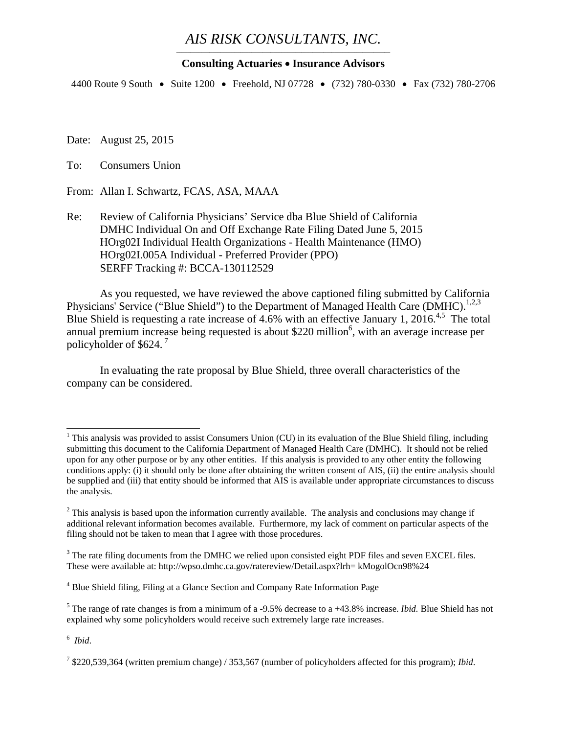#### *AIS RISK CONSULTANTS, INC.* \_\_\_\_\_\_\_\_\_\_\_\_\_\_\_\_\_\_\_\_\_\_\_\_\_\_\_\_\_\_\_\_\_\_\_\_\_\_\_\_\_\_\_\_\_\_\_\_\_\_\_\_\_\_\_\_\_\_\_\_\_\_\_\_\_\_\_\_\_\_\_\_\_\_\_\_\_

#### **Consulting Actuaries Insurance Advisors**

4400 Route 9 South • Suite 1200 • Freehold, NJ 07728 • (732) 780-0330 • Fax (732) 780-2706

Date: August 25, 2015

To: Consumers Union

From: Allan I. Schwartz, FCAS, ASA, MAAA

Re: Review of California Physicians' Service dba Blue Shield of California DMHC Individual On and Off Exchange Rate Filing Dated June 5, 2015 HOrg02I Individual Health Organizations - Health Maintenance (HMO) HOrg02I.005A Individual - Preferred Provider (PPO) SERFF Tracking #: BCCA-130112529

As you requested, we have reviewed the above captioned filing submitted by California Physicians' Service ("Blue Shield") to the Department of Managed Health Care (DMHC).<sup>1,2,3</sup> Blue Shield is requesting a rate increase of 4.6% with an effective January 1, 2016.<sup>4,5</sup> The total annual premium increase being requested is about \$220 million<sup>6</sup>, with an average increase per policyholder of \$624. 7

In evaluating the rate proposal by Blue Shield, three overall characteristics of the company can be considered.

<sup>&</sup>lt;sup>1</sup> This analysis was provided to assist Consumers Union (CU) in its evaluation of the Blue Shield filing, including submitting this document to the California Department of Managed Health Care (DMHC). It should not be relied upon for any other purpose or by any other entities. If this analysis is provided to any other entity the following conditions apply: (i) it should only be done after obtaining the written consent of AIS, (ii) the entire analysis should be supplied and (iii) that entity should be informed that AIS is available under appropriate circumstances to discuss the analysis.

 $2$  This analysis is based upon the information currently available. The analysis and conclusions may change if additional relevant information becomes available. Furthermore, my lack of comment on particular aspects of the filing should not be taken to mean that I agree with those procedures.

 $3$  The rate filing documents from the DMHC we relied upon consisted eight PDF files and seven EXCEL files. These were available at: http://wpso.dmhc.ca.gov/ratereview/Detail.aspx?lrh= kMogolOcn98%24

<sup>&</sup>lt;sup>4</sup> Blue Shield filing, Filing at a Glance Section and Company Rate Information Page

<sup>&</sup>lt;sup>5</sup> The range of rate changes is from a minimum of a -9.5% decrease to a +43.8% increase. *Ibid*. Blue Shield has not explained why some policyholders would receive such extremely large rate increases.

<sup>6</sup> *Ibid*.

<sup>7</sup> \$220,539,364 (written premium change) / 353,567 (number of policyholders affected for this program); *Ibid*.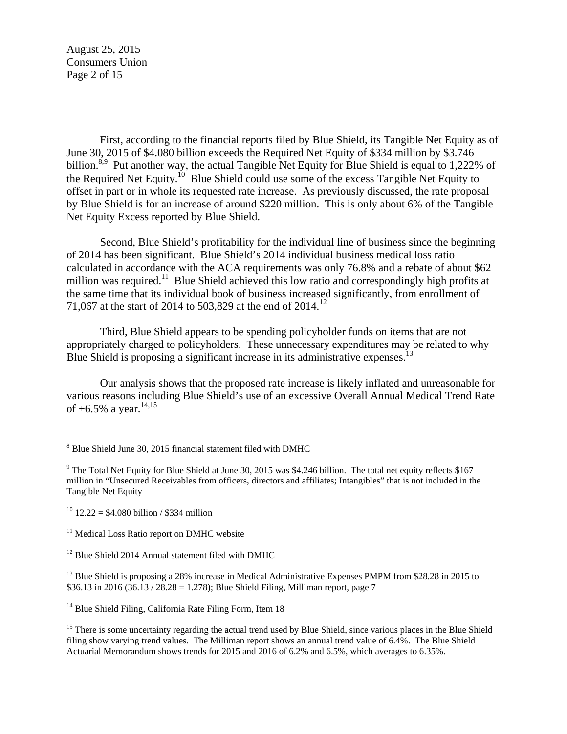August 25, 2015 Consumers Union Page 2 of 15

First, according to the financial reports filed by Blue Shield, its Tangible Net Equity as of June 30, 2015 of \$4.080 billion exceeds the Required Net Equity of \$334 million by \$3.746 billion.<sup>8,9</sup> Put another way, the actual Tangible Net Equity for Blue Shield is equal to 1,222% of the Required Net Equity.<sup>10</sup> Blue Shield could use some of the excess Tangible Net Equity to offset in part or in whole its requested rate increase. As previously discussed, the rate proposal by Blue Shield is for an increase of around \$220 million. This is only about 6% of the Tangible Net Equity Excess reported by Blue Shield.

Second, Blue Shield's profitability for the individual line of business since the beginning of 2014 has been significant. Blue Shield's 2014 individual business medical loss ratio calculated in accordance with the ACA requirements was only 76.8% and a rebate of about \$62 million was required.<sup>11</sup> Blue Shield achieved this low ratio and correspondingly high profits at the same time that its individual book of business increased significantly, from enrollment of 71,067 at the start of 2014 to 503,829 at the end of 2014.<sup>12</sup>

Third, Blue Shield appears to be spending policyholder funds on items that are not appropriately charged to policyholders. These unnecessary expenditures may be related to why Blue Shield is proposing a significant increase in its administrative expenses.<sup>13</sup>

Our analysis shows that the proposed rate increase is likely inflated and unreasonable for various reasons including Blue Shield's use of an excessive Overall Annual Medical Trend Rate of  $+6.5\%$  a year.<sup>14,15</sup>

<sup>13</sup> Blue Shield is proposing a 28% increase in Medical Administrative Expenses PMPM from \$28.28 in 2015 to \$36.13 in 2016 (36.13 / 28.28 = 1.278); Blue Shield Filing, Milliman report, page 7

<sup>14</sup> Blue Shield Filing, California Rate Filing Form, Item 18

<sup>15</sup> There is some uncertainty regarding the actual trend used by Blue Shield, since various places in the Blue Shield filing show varying trend values. The Milliman report shows an annual trend value of 6.4%. The Blue Shield Actuarial Memorandum shows trends for 2015 and 2016 of 6.2% and 6.5%, which averages to 6.35%.

 8 Blue Shield June 30, 2015 financial statement filed with DMHC

<sup>&</sup>lt;sup>9</sup> The Total Net Equity for Blue Shield at June 30, 2015 was \$4.246 billion. The total net equity reflects \$167 million in "Unsecured Receivables from officers, directors and affiliates; Intangibles" that is not included in the Tangible Net Equity

<sup>&</sup>lt;sup>10</sup> 12.22 = \$4.080 billion / \$334 million

<sup>&</sup>lt;sup>11</sup> Medical Loss Ratio report on DMHC website

 $12$  Blue Shield 2014 Annual statement filed with DMHC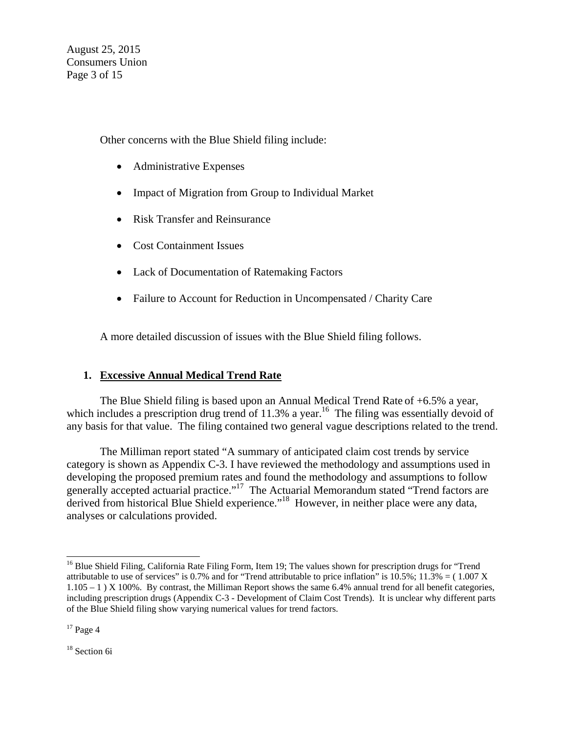August 25, 2015 Consumers Union Page 3 of 15

Other concerns with the Blue Shield filing include:

- Administrative Expenses
- Impact of Migration from Group to Individual Market
- Risk Transfer and Reinsurance
- Cost Containment Issues
- Lack of Documentation of Ratemaking Factors
- Failure to Account for Reduction in Uncompensated / Charity Care

A more detailed discussion of issues with the Blue Shield filing follows.

# **1. Excessive Annual Medical Trend Rate**

The Blue Shield filing is based upon an Annual Medical Trend Rate of +6.5% a year, which includes a prescription drug trend of  $11.3\%$  a year.<sup>16</sup> The filing was essentially devoid of any basis for that value. The filing contained two general vague descriptions related to the trend.

The Milliman report stated "A summary of anticipated claim cost trends by service category is shown as Appendix C-3. I have reviewed the methodology and assumptions used in developing the proposed premium rates and found the methodology and assumptions to follow generally accepted actuarial practice."<sup>17</sup> The Actuarial Memorandum stated "Trend factors are derived from historical Blue Shield experience."<sup>18</sup> However, in neither place were any data, analyses or calculations provided.

<sup>18</sup> Section 6i

 $\overline{a}$ <sup>16</sup> Blue Shield Filing, California Rate Filing Form, Item 19; The values shown for prescription drugs for "Trend attributable to use of services" is 0.7% and for "Trend attributable to price inflation" is  $10.5\%$ ;  $11.3\% = (1.007 \text{ X})$ 1.105 – 1 ) X 100%. By contrast, the Milliman Report shows the same 6.4% annual trend for all benefit categories, including prescription drugs (Appendix C-3 - Development of Claim Cost Trends). It is unclear why different parts of the Blue Shield filing show varying numerical values for trend factors.

 $17$  Page 4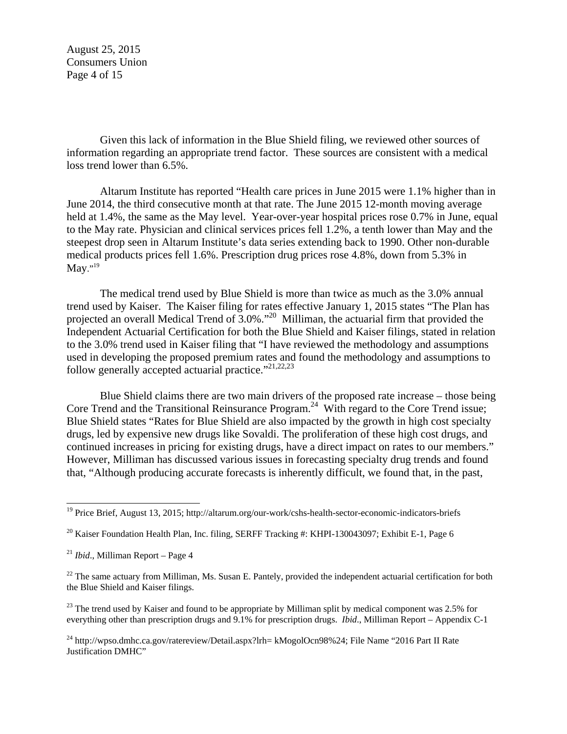August 25, 2015 Consumers Union Page 4 of 15

Given this lack of information in the Blue Shield filing, we reviewed other sources of information regarding an appropriate trend factor. These sources are consistent with a medical loss trend lower than 6.5%.

Altarum Institute has reported "Health care prices in June 2015 were 1.1% higher than in June 2014, the third consecutive month at that rate. The June 2015 12-month moving average held at 1.4%, the same as the May level. Year-over-year hospital prices rose 0.7% in June, equal to the May rate. Physician and clinical services prices fell 1.2%, a tenth lower than May and the steepest drop seen in Altarum Institute's data series extending back to 1990. Other non-durable medical products prices fell 1.6%. Prescription drug prices rose 4.8%, down from 5.3% in May." $^{19}$ 

The medical trend used by Blue Shield is more than twice as much as the 3.0% annual trend used by Kaiser. The Kaiser filing for rates effective January 1, 2015 states "The Plan has projected an overall Medical Trend of 3.0%."<sup>20</sup> Milliman, the actuarial firm that provided the Independent Actuarial Certification for both the Blue Shield and Kaiser filings, stated in relation to the 3.0% trend used in Kaiser filing that "I have reviewed the methodology and assumptions used in developing the proposed premium rates and found the methodology and assumptions to follow generally accepted actuarial practice."<sup>21,22,23</sup>

Blue Shield claims there are two main drivers of the proposed rate increase – those being Core Trend and the Transitional Reinsurance Program.<sup>24</sup> With regard to the Core Trend issue; Blue Shield states "Rates for Blue Shield are also impacted by the growth in high cost specialty drugs, led by expensive new drugs like Sovaldi. The proliferation of these high cost drugs, and continued increases in pricing for existing drugs, have a direct impact on rates to our members." However, Milliman has discussed various issues in forecasting specialty drug trends and found that, "Although producing accurate forecasts is inherently difficult, we found that, in the past,

<sup>&</sup>lt;sup>19</sup> Price Brief, August 13, 2015; http://altarum.org/our-work/cshs-health-sector-economic-indicators-briefs

<sup>&</sup>lt;sup>20</sup> Kaiser Foundation Health Plan, Inc. filing, SERFF Tracking #: KHPI-130043097; Exhibit E-1, Page 6

<sup>21</sup> *Ibid*., Milliman Report – Page 4

 $22$  The same actuary from Milliman, Ms. Susan E. Pantely, provided the independent actuarial certification for both the Blue Shield and Kaiser filings.

<sup>&</sup>lt;sup>23</sup> The trend used by Kaiser and found to be appropriate by Milliman split by medical component was 2.5% for everything other than prescription drugs and 9.1% for prescription drugs. *Ibid*., Milliman Report – Appendix C-1

<sup>&</sup>lt;sup>24</sup> http://wpso.dmhc.ca.gov/ratereview/Detail.aspx?lrh= kMogolOcn98%24; File Name "2016 Part II Rate Justification DMHC"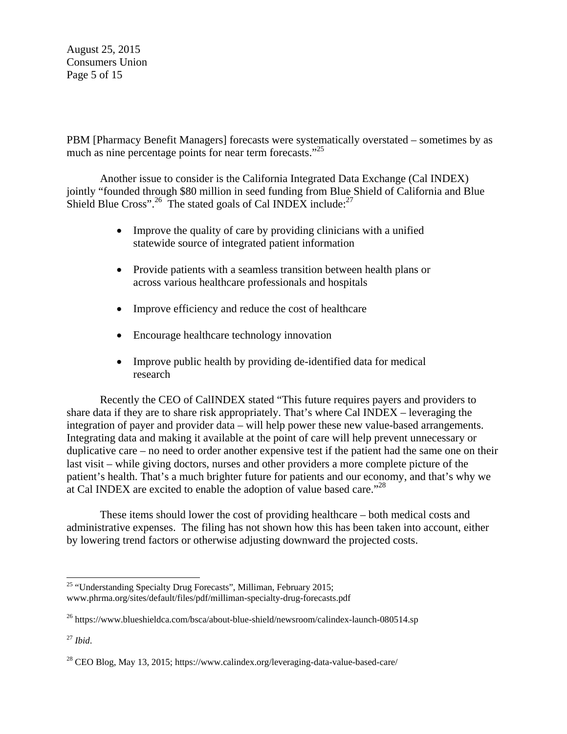August 25, 2015 Consumers Union Page 5 of 15

PBM [Pharmacy Benefit Managers] forecasts were systematically overstated – sometimes by as much as nine percentage points for near term forecasts."<sup>25</sup>

Another issue to consider is the California Integrated Data Exchange (Cal INDEX) jointly "founded through \$80 million in seed funding from Blue Shield of California and Blue Shield Blue Cross".<sup>26</sup> The stated goals of Cal INDEX include:<sup>27</sup>

- Improve the quality of care by providing clinicians with a unified statewide source of integrated patient information
- Provide patients with a seamless transition between health plans or across various healthcare professionals and hospitals
- Improve efficiency and reduce the cost of healthcare
- Encourage healthcare technology innovation
- Improve public health by providing de-identified data for medical research

Recently the CEO of CalINDEX stated "This future requires payers and providers to share data if they are to share risk appropriately. That's where Cal INDEX – leveraging the integration of payer and provider data – will help power these new value-based arrangements. Integrating data and making it available at the point of care will help prevent unnecessary or duplicative care – no need to order another expensive test if the patient had the same one on their last visit – while giving doctors, nurses and other providers a more complete picture of the patient's health. That's a much brighter future for patients and our economy, and that's why we at Cal INDEX are excited to enable the adoption of value based care."28

These items should lower the cost of providing healthcare – both medical costs and administrative expenses. The filing has not shown how this has been taken into account, either by lowering trend factors or otherwise adjusting downward the projected costs.

 $25$  "Understanding Specialty Drug Forecasts", Milliman, February 2015; www.phrma.org/sites/default/files/pdf/milliman-specialty-drug-forecasts.pdf

<sup>&</sup>lt;sup>26</sup> https://www.blueshieldca.com/bsca/about-blue-shield/newsroom/calindex-launch-080514.sp

<sup>27</sup> *Ibid*.

<sup>28</sup> CEO Blog, May 13, 2015; https://www.calindex.org/leveraging-data-value-based-care/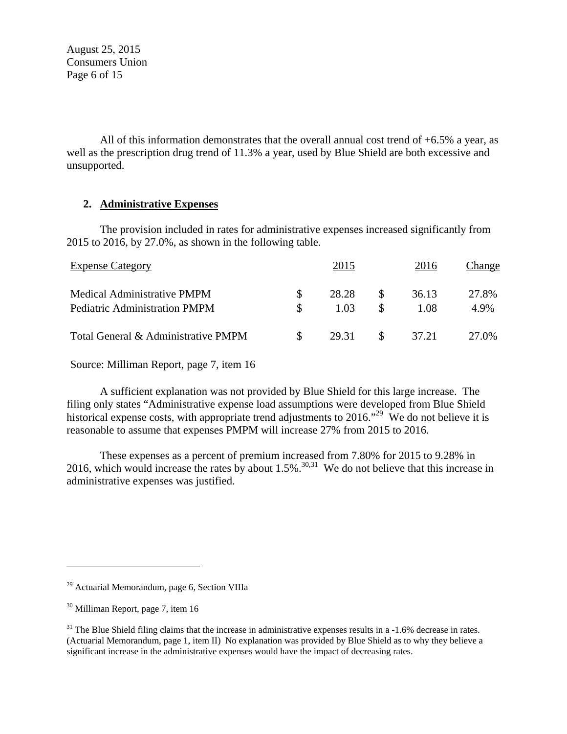August 25, 2015 Consumers Union Page 6 of 15

All of this information demonstrates that the overall annual cost trend of  $+6.5\%$  a year, as well as the prescription drug trend of 11.3% a year, used by Blue Shield are both excessive and unsupported.

# **2. Administrative Expenses**

The provision included in rates for administrative expenses increased significantly from 2015 to 2016, by 27.0%, as shown in the following table.

| <b>Expense Category</b>                                                    |               | 2015          |          | 2016          | Change        |
|----------------------------------------------------------------------------|---------------|---------------|----------|---------------|---------------|
| <b>Medical Administrative PMPM</b><br><b>Pediatric Administration PMPM</b> | S.            | 28.28<br>1.03 | <b>S</b> | 36.13<br>1.08 | 27.8%<br>4.9% |
| Total General & Administrative PMPM                                        | $\mathcal{S}$ | 29.31         |          | 37.21         | 27.0%         |

Source: Milliman Report, page 7, item 16

A sufficient explanation was not provided by Blue Shield for this large increase. The filing only states "Administrative expense load assumptions were developed from Blue Shield historical expense costs, with appropriate trend adjustments to 2016.<sup>29</sup> We do not believe it is reasonable to assume that expenses PMPM will increase 27% from 2015 to 2016.

These expenses as a percent of premium increased from 7.80% for 2015 to 9.28% in 2016, which would increase the rates by about  $1.5\%$ .<sup>30,31</sup> We do not believe that this increase in administrative expenses was justified.

l

<sup>29</sup> Actuarial Memorandum, page 6, Section VIIIa

<sup>30</sup> Milliman Report, page 7, item 16

 $31$  The Blue Shield filing claims that the increase in administrative expenses results in a  $-1.6\%$  decrease in rates. (Actuarial Memorandum, page 1, item II) No explanation was provided by Blue Shield as to why they believe a significant increase in the administrative expenses would have the impact of decreasing rates.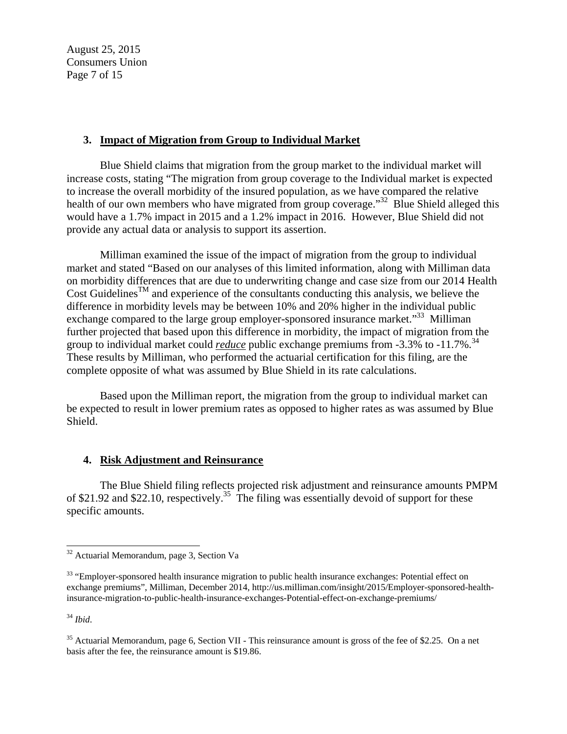August 25, 2015 Consumers Union Page 7 of 15

# **3. Impact of Migration from Group to Individual Market**

Blue Shield claims that migration from the group market to the individual market will increase costs, stating "The migration from group coverage to the Individual market is expected to increase the overall morbidity of the insured population, as we have compared the relative health of our own members who have migrated from group coverage."<sup>32</sup> Blue Shield alleged this would have a 1.7% impact in 2015 and a 1.2% impact in 2016. However, Blue Shield did not provide any actual data or analysis to support its assertion.

Milliman examined the issue of the impact of migration from the group to individual market and stated "Based on our analyses of this limited information, along with Milliman data on morbidity differences that are due to underwriting change and case size from our 2014 Health Cost Guidelines<sup>TM</sup> and experience of the consultants conducting this analysis, we believe the difference in morbidity levels may be between 10% and 20% higher in the individual public exchange compared to the large group employer-sponsored insurance market.<sup>33</sup> Milliman further projected that based upon this difference in morbidity, the impact of migration from the group to individual market could *reduce* public exchange premiums from -3.3% to -11.7%.<sup>34</sup> These results by Milliman, who performed the actuarial certification for this filing, are the complete opposite of what was assumed by Blue Shield in its rate calculations.

Based upon the Milliman report, the migration from the group to individual market can be expected to result in lower premium rates as opposed to higher rates as was assumed by Blue Shield.

#### **4. Risk Adjustment and Reinsurance**

The Blue Shield filing reflects projected risk adjustment and reinsurance amounts PMPM of \$21.92 and \$22.10, respectively.<sup>35</sup> The filing was essentially devoid of support for these specific amounts.

<sup>34</sup> *Ibid*.

<sup>&</sup>lt;sup>32</sup> Actuarial Memorandum, page 3, Section Va

<sup>&</sup>lt;sup>33</sup> "Employer-sponsored health insurance migration to public health insurance exchanges: Potential effect on exchange premiums", Milliman, December 2014, http://us.milliman.com/insight/2015/Employer-sponsored-healthinsurance-migration-to-public-health-insurance-exchanges-Potential-effect-on-exchange-premiums/

<sup>&</sup>lt;sup>35</sup> Actuarial Memorandum, page 6, Section VII - This reinsurance amount is gross of the fee of \$2.25. On a net basis after the fee, the reinsurance amount is \$19.86.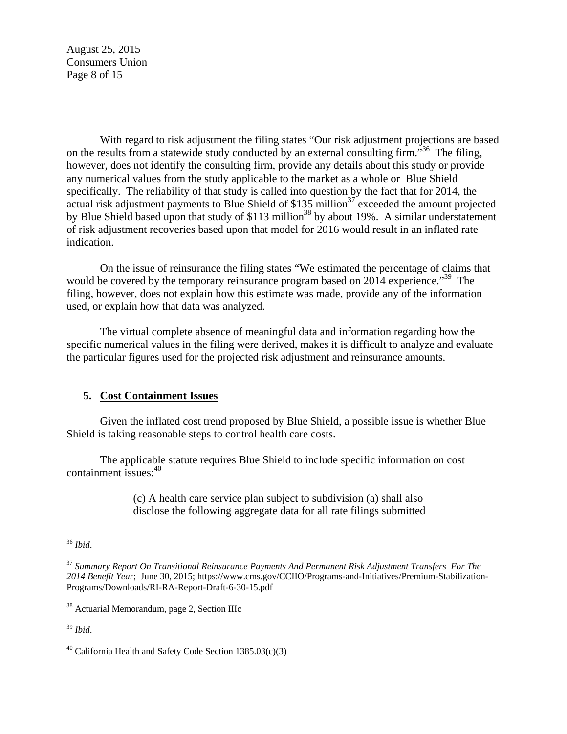August 25, 2015 Consumers Union Page 8 of 15

With regard to risk adjustment the filing states "Our risk adjustment projections are based on the results from a statewide study conducted by an external consulting firm.<sup>536</sup> The filing, however, does not identify the consulting firm, provide any details about this study or provide any numerical values from the study applicable to the market as a whole or Blue Shield specifically. The reliability of that study is called into question by the fact that for 2014, the actual risk adjustment payments to Blue Shield of  $$135$  million<sup>37</sup> exceeded the amount projected by Blue Shield based upon that study of \$113 million<sup>38</sup> by about 19%. A similar understatement of risk adjustment recoveries based upon that model for 2016 would result in an inflated rate indication.

On the issue of reinsurance the filing states "We estimated the percentage of claims that would be covered by the temporary reinsurance program based on 2014 experience."<sup>39</sup> The filing, however, does not explain how this estimate was made, provide any of the information used, or explain how that data was analyzed.

The virtual complete absence of meaningful data and information regarding how the specific numerical values in the filing were derived, makes it is difficult to analyze and evaluate the particular figures used for the projected risk adjustment and reinsurance amounts.

#### **5. Cost Containment Issues**

Given the inflated cost trend proposed by Blue Shield, a possible issue is whether Blue Shield is taking reasonable steps to control health care costs.

The applicable statute requires Blue Shield to include specific information on cost containment issues: $40$ 

> (c) A health care service plan subject to subdivision (a) shall also disclose the following aggregate data for all rate filings submitted

38 Actuarial Memorandum, page 2, Section IIIc

<sup>39</sup> *Ibid*.

 $\overline{a}$ <sup>36</sup> *Ibid*.

<sup>37</sup> *Summary Report On Transitional Reinsurance Payments And Permanent Risk Adjustment Transfers For The 2014 Benefit Year*; June 30, 2015; https://www.cms.gov/CCIIO/Programs-and-Initiatives/Premium-Stabilization-Programs/Downloads/RI-RA-Report-Draft-6-30-15.pdf

 $40$  California Health and Safety Code Section 1385.03(c)(3)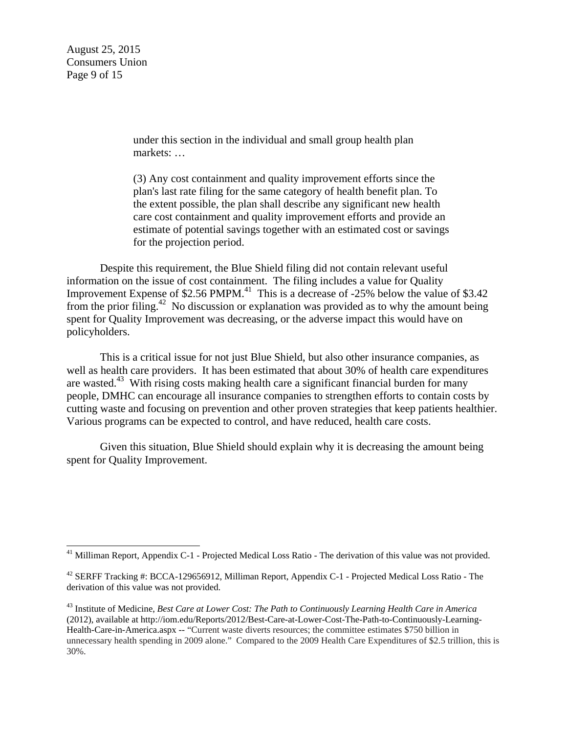August 25, 2015 Consumers Union Page 9 of 15

 $\overline{a}$ 

under this section in the individual and small group health plan markets: …

(3) Any cost containment and quality improvement efforts since the plan's last rate filing for the same category of health benefit plan. To the extent possible, the plan shall describe any significant new health care cost containment and quality improvement efforts and provide an estimate of potential savings together with an estimated cost or savings for the projection period.

Despite this requirement, the Blue Shield filing did not contain relevant useful information on the issue of cost containment. The filing includes a value for Quality Improvement Expense of \$2.56 PMPM.<sup>41</sup> This is a decrease of -25% below the value of \$3.42 from the prior filing.<sup>42</sup> No discussion or explanation was provided as to why the amount being spent for Quality Improvement was decreasing, or the adverse impact this would have on policyholders.

This is a critical issue for not just Blue Shield, but also other insurance companies, as well as health care providers. It has been estimated that about 30% of health care expenditures are wasted.<sup>43</sup> With rising costs making health care a significant financial burden for many people, DMHC can encourage all insurance companies to strengthen efforts to contain costs by cutting waste and focusing on prevention and other proven strategies that keep patients healthier. Various programs can be expected to control, and have reduced, health care costs.

Given this situation, Blue Shield should explain why it is decreasing the amount being spent for Quality Improvement.

<sup>&</sup>lt;sup>41</sup> Milliman Report, Appendix C-1 - Projected Medical Loss Ratio - The derivation of this value was not provided.

<sup>42</sup> SERFF Tracking #: BCCA-129656912, Milliman Report, Appendix C-1 - Projected Medical Loss Ratio - The derivation of this value was not provided.

<sup>43</sup> Institute of Medicine, *Best Care at Lower Cost: The Path to Continuously Learning Health Care in America* (2012), available at http://iom.edu/Reports/2012/Best-Care-at-Lower-Cost-The-Path-to-Continuously-Learning-Health-Care-in-America.aspx -- "Current waste diverts resources; the committee estimates \$750 billion in unnecessary health spending in 2009 alone." Compared to the 2009 Health Care Expenditures of \$2.5 trillion, this is 30%.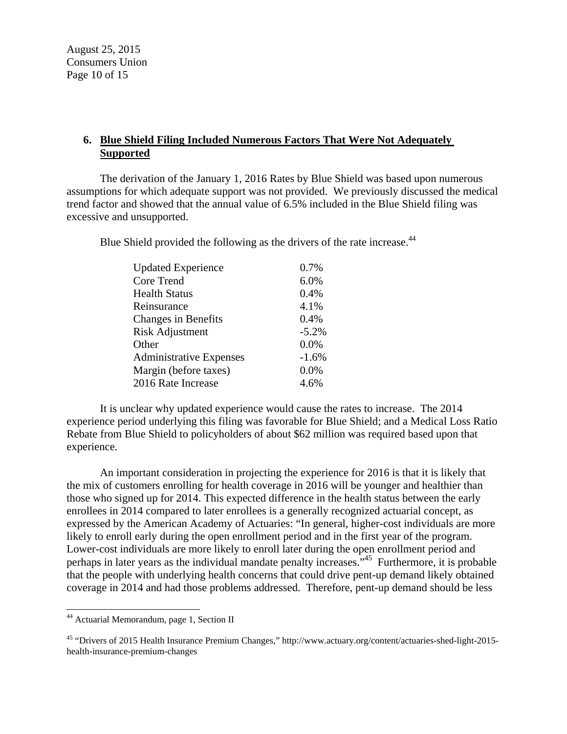August 25, 2015 Consumers Union Page 10 of 15

# **6. Blue Shield Filing Included Numerous Factors That Were Not Adequately Supported**

The derivation of the January 1, 2016 Rates by Blue Shield was based upon numerous assumptions for which adequate support was not provided. We previously discussed the medical trend factor and showed that the annual value of 6.5% included in the Blue Shield filing was excessive and unsupported.

Blue Shield provided the following as the drivers of the rate increase.<sup>44</sup>

| <b>Updated Experience</b>      | 0.7%    |
|--------------------------------|---------|
| Core Trend                     | 6.0%    |
| <b>Health Status</b>           | 0.4%    |
| Reinsurance                    | 4.1%    |
| <b>Changes in Benefits</b>     | 0.4%    |
| <b>Risk Adjustment</b>         | $-5.2%$ |
| Other                          | 0.0%    |
| <b>Administrative Expenses</b> | $-1.6%$ |
| Margin (before taxes)          | 0.0%    |
| 2016 Rate Increase             | 4.6%    |

It is unclear why updated experience would cause the rates to increase. The 2014 experience period underlying this filing was favorable for Blue Shield; and a Medical Loss Ratio Rebate from Blue Shield to policyholders of about \$62 million was required based upon that experience.

An important consideration in projecting the experience for 2016 is that it is likely that the mix of customers enrolling for health coverage in 2016 will be younger and healthier than those who signed up for 2014. This expected difference in the health status between the early enrollees in 2014 compared to later enrollees is a generally recognized actuarial concept, as expressed by the American Academy of Actuaries: "In general, higher-cost individuals are more likely to enroll early during the open enrollment period and in the first year of the program. Lower-cost individuals are more likely to enroll later during the open enrollment period and perhaps in later years as the individual mandate penalty increases."45 Furthermore, it is probable that the people with underlying health concerns that could drive pent-up demand likely obtained coverage in 2014 and had those problems addressed. Therefore, pent-up demand should be less

<sup>&</sup>lt;sup>44</sup> Actuarial Memorandum, page 1, Section II

<sup>45 &</sup>quot;Drivers of 2015 Health Insurance Premium Changes," http://www.actuary.org/content/actuaries-shed-light-2015 health-insurance-premium-changes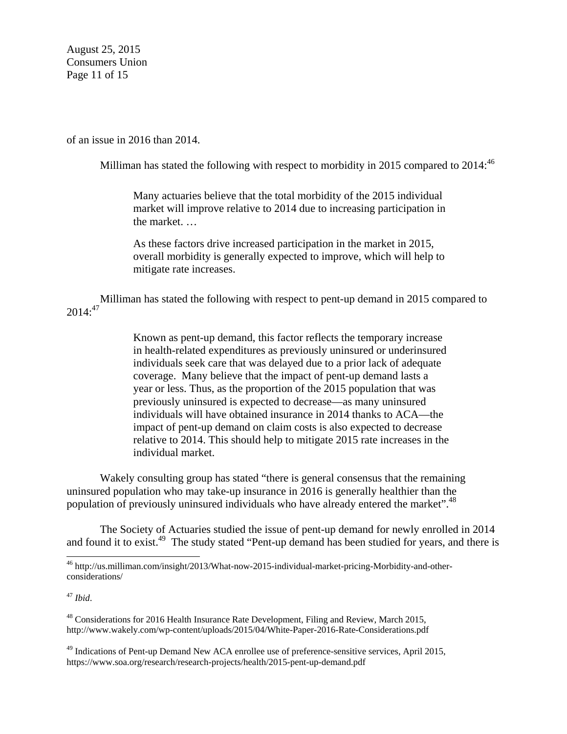August 25, 2015 Consumers Union Page 11 of 15

of an issue in 2016 than 2014.

Milliman has stated the following with respect to morbidity in 2015 compared to 2014: $^{46}$ 

Many actuaries believe that the total morbidity of the 2015 individual market will improve relative to 2014 due to increasing participation in the market. …

As these factors drive increased participation in the market in 2015, overall morbidity is generally expected to improve, which will help to mitigate rate increases.

Milliman has stated the following with respect to pent-up demand in 2015 compared to  $2014$ :<sup>47</sup>

> Known as pent-up demand, this factor reflects the temporary increase in health-related expenditures as previously uninsured or underinsured individuals seek care that was delayed due to a prior lack of adequate coverage. Many believe that the impact of pent-up demand lasts a year or less. Thus, as the proportion of the 2015 population that was previously uninsured is expected to decrease—as many uninsured individuals will have obtained insurance in 2014 thanks to ACA—the impact of pent-up demand on claim costs is also expected to decrease relative to 2014. This should help to mitigate 2015 rate increases in the individual market.

Wakely consulting group has stated "there is general consensus that the remaining uninsured population who may take-up insurance in 2016 is generally healthier than the population of previously uninsured individuals who have already entered the market".<sup>48</sup>

The Society of Actuaries studied the issue of pent-up demand for newly enrolled in 2014 and found it to exist.<sup>49</sup> The study stated "Pent-up demand has been studied for years, and there is

<sup>47</sup> *Ibid*.

<sup>46</sup> http://us.milliman.com/insight/2013/What-now-2015-individual-market-pricing-Morbidity-and-otherconsiderations/

<sup>&</sup>lt;sup>48</sup> Considerations for 2016 Health Insurance Rate Development, Filing and Review, March 2015, http://www.wakely.com/wp-content/uploads/2015/04/White-Paper-2016-Rate-Considerations.pdf

<sup>&</sup>lt;sup>49</sup> Indications of Pent-up Demand New ACA enrollee use of preference-sensitive services, April 2015, https://www.soa.org/research/research-projects/health/2015-pent-up-demand.pdf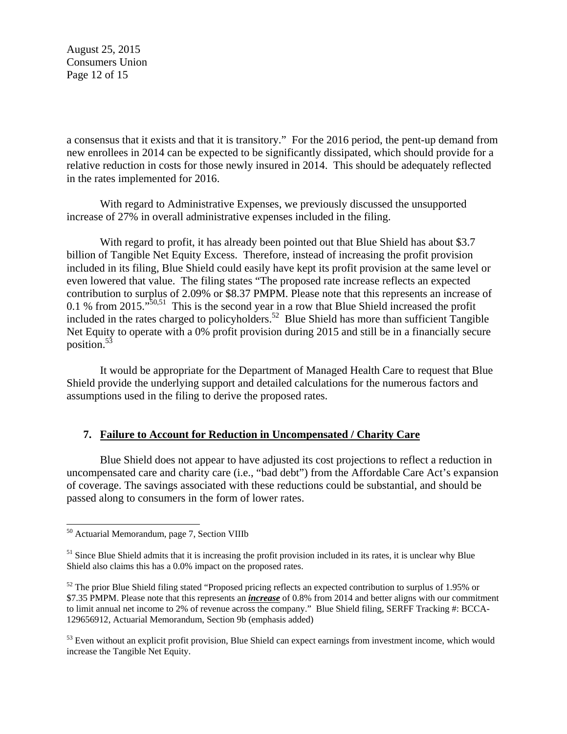August 25, 2015 Consumers Union Page 12 of 15

a consensus that it exists and that it is transitory." For the 2016 period, the pent-up demand from new enrollees in 2014 can be expected to be significantly dissipated, which should provide for a relative reduction in costs for those newly insured in 2014. This should be adequately reflected in the rates implemented for 2016.

With regard to Administrative Expenses, we previously discussed the unsupported increase of 27% in overall administrative expenses included in the filing.

With regard to profit, it has already been pointed out that Blue Shield has about \$3.7 billion of Tangible Net Equity Excess. Therefore, instead of increasing the profit provision included in its filing, Blue Shield could easily have kept its profit provision at the same level or even lowered that value. The filing states "The proposed rate increase reflects an expected contribution to surplus of 2.09% or \$8.37 PMPM. Please note that this represents an increase of 0.1 % from 2015.<sup> $50,51$ </sup> This is the second year in a row that Blue Shield increased the profit included in the rates charged to policyholders.<sup>52</sup> Blue Shield has more than sufficient Tangible Net Equity to operate with a 0% profit provision during 2015 and still be in a financially secure position.53

It would be appropriate for the Department of Managed Health Care to request that Blue Shield provide the underlying support and detailed calculations for the numerous factors and assumptions used in the filing to derive the proposed rates.

#### **7. Failure to Account for Reduction in Uncompensated / Charity Care**

Blue Shield does not appear to have adjusted its cost projections to reflect a reduction in uncompensated care and charity care (i.e., "bad debt") from the Affordable Care Act's expansion of coverage. The savings associated with these reductions could be substantial, and should be passed along to consumers in the form of lower rates.

<sup>&</sup>lt;sup>50</sup> Actuarial Memorandum, page 7, Section VIIIb

 $<sup>51</sup>$  Since Blue Shield admits that it is increasing the profit provision included in its rates, it is unclear why Blue</sup> Shield also claims this has a 0.0% impact on the proposed rates.

 $52$  The prior Blue Shield filing stated "Proposed pricing reflects an expected contribution to surplus of 1.95% or \$7.35 PMPM. Please note that this represents an *increase* of 0.8% from 2014 and better aligns with our commitment to limit annual net income to 2% of revenue across the company." Blue Shield filing, SERFF Tracking #: BCCA-129656912, Actuarial Memorandum, Section 9b (emphasis added)

 $53$  Even without an explicit profit provision, Blue Shield can expect earnings from investment income, which would increase the Tangible Net Equity.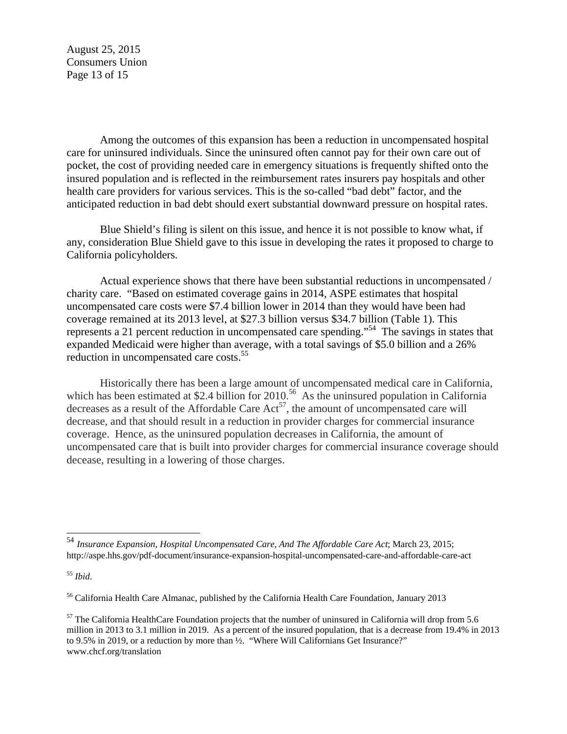August 25, 2015 Consumers Union Page 13 of 15

Among the outcomes of this expansion has been a reduction in uncompensated hospital care for uninsured individuals. Since the uninsured often cannot pay for their own care out of pocket, the cost of providing needed care in emergency situations is frequently shifted onto the insured population and is reflected in the reimbursement rates insurers pay hospitals and other health care providers for various services. This is the so-called "bad debt" factor, and the anticipated reduction in bad debt should exert substantial downward pressure on hospital rates.

Blue Shield's filing is silent on this issue, and hence it is not possible to know what, if any, consideration Blue Shield gave to this issue in developing the rates it proposed to charge to California policyholders.

Actual experience shows that there have been substantial reductions in uncompensated / charity care. "Based on estimated coverage gains in 2014, ASPE estimates that hospital uncompensated care costs were \$7.4 billion lower in 2014 than they would have been had coverage remained at its 2013 level, at \$27.3 billion versus \$34.7 billion (Table 1). This represents a 21 percent reduction in uncompensated care spending."54 The savings in states that expanded Medicaid were higher than average, with a total savings of \$5.0 billion and a 26% reduction in uncompensated care costs.<sup>55</sup>

Historically there has been a large amount of uncompensated medical care in California, which has been estimated at \$2.4 billion for  $2010^{-56}$  As the uninsured population in California decreases as a result of the Affordable Care  $Act^{57}$ , the amount of uncompensated care will decrease, and that should result in a reduction in provider charges for commercial insurance coverage. Hence, as the uninsured population decreases in California, the amount of uncompensated care that is built into provider charges for commercial insurance coverage should decease, resulting in a lowering of those charges.

<sup>54</sup> *Insurance Expansion, Hospital Uncompensated Care, And The Affordable Care Act*; March 23, 2015; http://aspe.hhs.gov/pdf-document/insurance-expansion-hospital-uncompensated-care-and-affordable-care-act

<sup>55</sup> *Ibid*.

<sup>56</sup> California Health Care Almanac, published by the California Health Care Foundation, January 2013

 $57$  The California HealthCare Foundation projects that the number of uninsured in California will drop from 5.6 million in 2013 to 3.1 million in 2019. As a percent of the insured population, that is a decrease from 19.4% in 2013 to 9.5% in 2019, or a reduction by more than ½. "Where Will Californians Get Insurance?" www.chcf.org/translation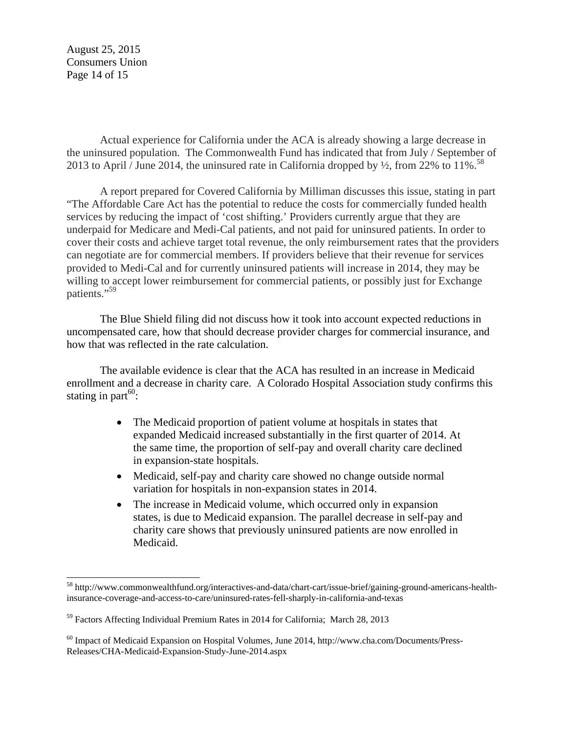August 25, 2015 Consumers Union Page 14 of 15

 $\overline{a}$ 

Actual experience for California under the ACA is already showing a large decrease in the uninsured population. The Commonwealth Fund has indicated that from July / September of 2013 to April / June 2014, the uninsured rate in California dropped by  $\frac{1}{2}$ , from 22% to 11%.<sup>58</sup>

A report prepared for Covered California by Milliman discusses this issue, stating in part "The Affordable Care Act has the potential to reduce the costs for commercially funded health services by reducing the impact of 'cost shifting.' Providers currently argue that they are underpaid for Medicare and Medi-Cal patients, and not paid for uninsured patients. In order to cover their costs and achieve target total revenue, the only reimbursement rates that the providers can negotiate are for commercial members. If providers believe that their revenue for services provided to Medi-Cal and for currently uninsured patients will increase in 2014, they may be willing to accept lower reimbursement for commercial patients, or possibly just for Exchange patients."<sup>59</sup>

The Blue Shield filing did not discuss how it took into account expected reductions in uncompensated care, how that should decrease provider charges for commercial insurance, and how that was reflected in the rate calculation.

 The available evidence is clear that the ACA has resulted in an increase in Medicaid enrollment and a decrease in charity care. A Colorado Hospital Association study confirms this stating in part $60$ :

- The Medicaid proportion of patient volume at hospitals in states that expanded Medicaid increased substantially in the first quarter of 2014. At the same time, the proportion of self-pay and overall charity care declined in expansion-state hospitals.
- Medicaid, self-pay and charity care showed no change outside normal variation for hospitals in non-expansion states in 2014.
- The increase in Medicaid volume, which occurred only in expansion states, is due to Medicaid expansion. The parallel decrease in self-pay and charity care shows that previously uninsured patients are now enrolled in Medicaid.

<sup>58</sup> http://www.commonwealthfund.org/interactives-and-data/chart-cart/issue-brief/gaining-ground-americans-healthinsurance-coverage-and-access-to-care/uninsured-rates-fell-sharply-in-california-and-texas

<sup>59</sup> Factors Affecting Individual Premium Rates in 2014 for California; March 28, 2013

<sup>60</sup> Impact of Medicaid Expansion on Hospital Volumes, June 2014, http://www.cha.com/Documents/Press-Releases/CHA-Medicaid-Expansion-Study-June-2014.aspx